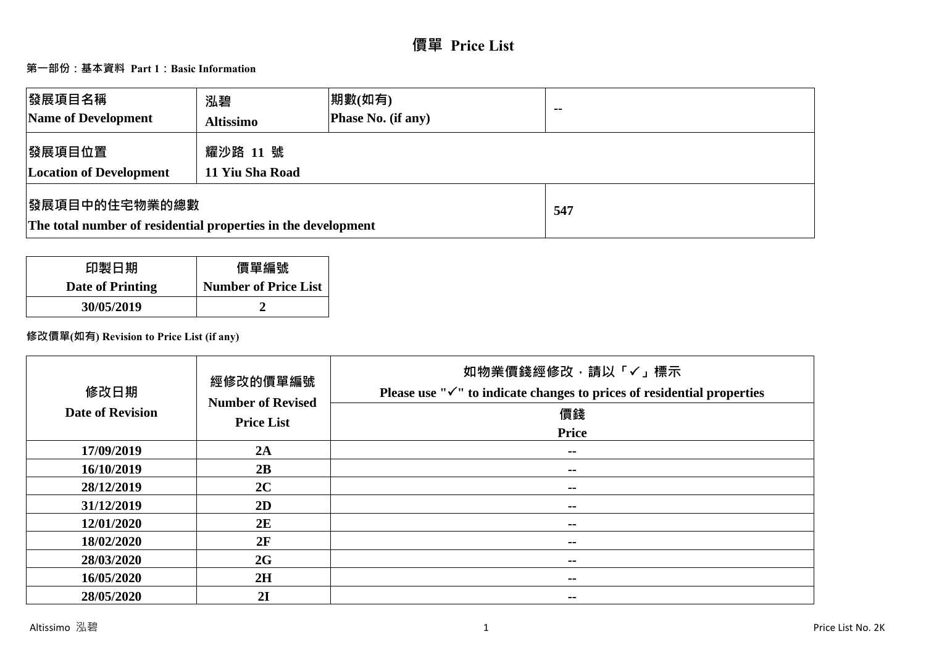# **價單 Price List**

# **第一部份:基本資料 Part 1:Basic Information**

| 發展項目名稱<br>Name of Development                                                          | 泓碧<br><b>Altissimo</b>      | 期數(如有)<br><b>Phase No. (if any)</b> | $-$ |
|----------------------------------------------------------------------------------------|-----------------------------|-------------------------------------|-----|
| 發展項目位置<br><b>Location of Development</b>                                               | 耀沙路 11 號<br>11 Yiu Sha Road |                                     |     |
| <b> 發展項目中的住宅物業的總數</b><br>The total number of residential properties in the development |                             | 547                                 |     |

| 印製日期             | 價單編號                        |
|------------------|-----------------------------|
| Date of Printing | <b>Number of Price List</b> |
| 30/05/2019       |                             |

# **修改價單(如有) Revision to Price List (if any)**

| 修改日期<br><b>Date of Revision</b> | 經修改的價單編號<br><b>Number of Revised</b><br><b>Price List</b> | 如物業價錢經修改,請以「✓」標示<br>Please use " $\checkmark$ " to indicate changes to prices of residential properties<br>價錢<br><b>Price</b> |
|---------------------------------|-----------------------------------------------------------|-------------------------------------------------------------------------------------------------------------------------------|
| 17/09/2019                      | 2A                                                        | $\sim$                                                                                                                        |
| 16/10/2019                      | 2B                                                        | $\sim$ $-$                                                                                                                    |
| 28/12/2019                      | 2C                                                        | $\sim$                                                                                                                        |
| 31/12/2019                      | 2D                                                        | $\sim$ $-$                                                                                                                    |
| 12/01/2020                      | 2E                                                        | --                                                                                                                            |
| 18/02/2020                      | 2F                                                        | $\sim$ $-$                                                                                                                    |
| 28/03/2020                      | 2G                                                        | $\sim$ $-$                                                                                                                    |
| 16/05/2020                      | 2H                                                        | $\sim$ $-$                                                                                                                    |
| 28/05/2020                      | 2I                                                        | --                                                                                                                            |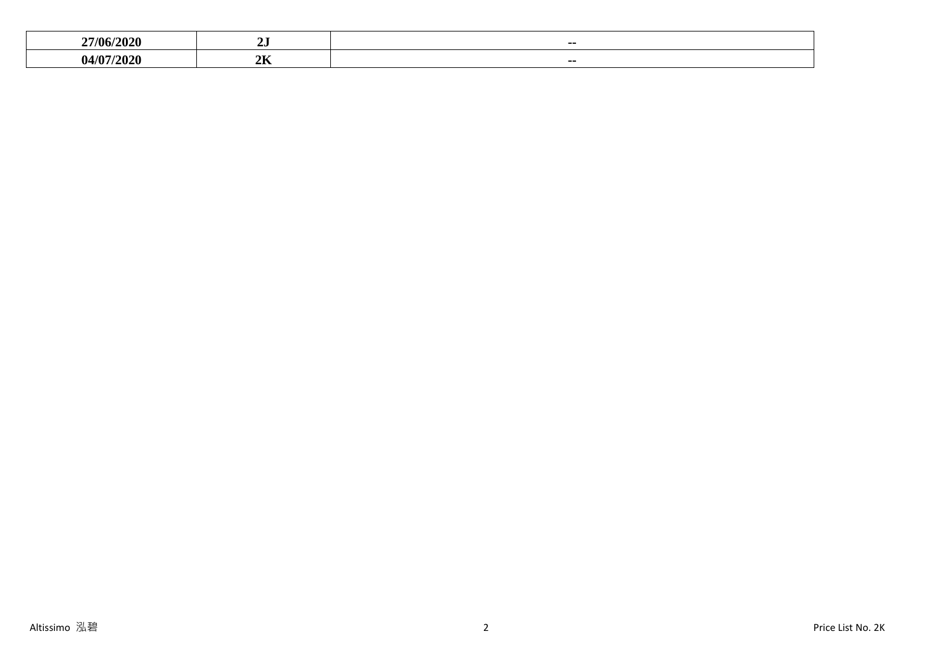| <b>27/06/</b><br>л.<br>- | - -<br>∠ພ           | ---           |
|--------------------------|---------------------|---------------|
| $\sqrt{ }$               | $\sim$ $\sim$<br>4D | $\sim$ $\sim$ |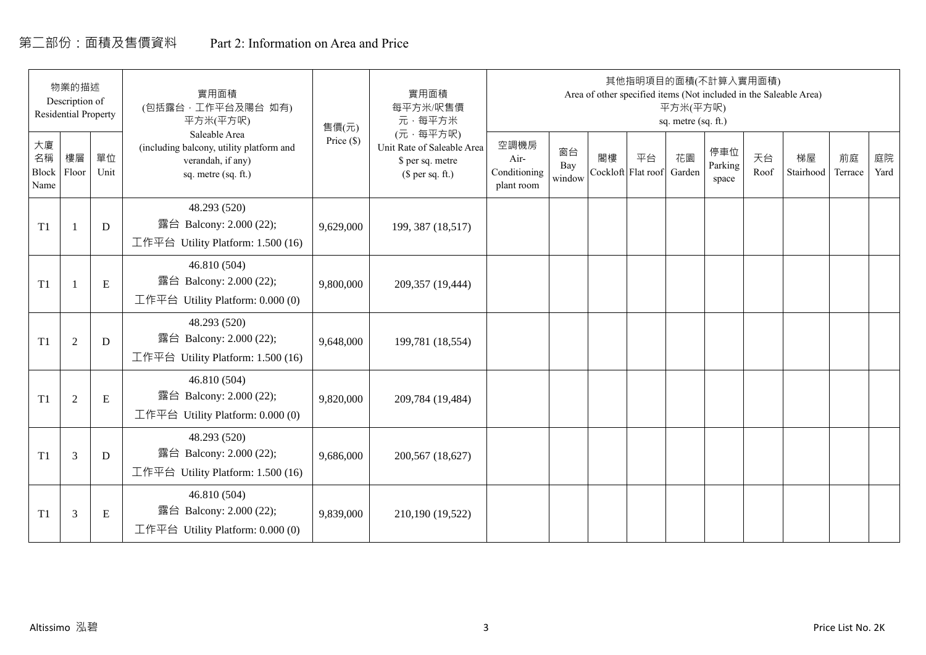# 第二部份:面積及售價資料 Part 2: Information on Area and Price

|                           | 物業的描述<br>Description of<br><b>Residential Property</b> |            | 實用面積<br>(包括露台,工作平台及陽台 如有)<br>平方米(平方呎)                                                                 | 售價(元)      | 實用面積<br>每平方米/呎售價<br>元·每平方米                                                     |                                            |                     |    |                          | 平方米(平方呎)<br>sq. metre (sq. ft.) | 其他指明項目的面積(不計算入實用面積)     |            | Area of other specified items (Not included in the Saleable Area) |               |            |
|---------------------------|--------------------------------------------------------|------------|-------------------------------------------------------------------------------------------------------|------------|--------------------------------------------------------------------------------|--------------------------------------------|---------------------|----|--------------------------|---------------------------------|-------------------------|------------|-------------------------------------------------------------------|---------------|------------|
| 大廈<br>名稱<br>Block<br>Name | 樓層<br>Floor                                            | 單位<br>Unit | Saleable Area<br>(including balcony, utility platform and<br>verandah, if any)<br>sq. metre (sq. ft.) | Price (\$) | (元·每平方呎)<br>Unit Rate of Saleable Area<br>\$ per sq. metre<br>$$$ per sq. ft.) | 空調機房<br>Air-<br>Conditioning<br>plant room | 窗台<br>Bay<br>window | 閣樓 | 平台<br>Cockloft Flat roof | 花園<br>Garden                    | 停車位<br>Parking<br>space | 天台<br>Roof | 梯屋<br>Stairhood                                                   | 前庭<br>Terrace | 庭院<br>Yard |
| T1                        |                                                        | D          | 48.293 (520)<br>露台 Balcony: 2.000 (22);<br>工作平台 Utility Platform: 1.500 (16)                          | 9,629,000  | 199, 387 (18,517)                                                              |                                            |                     |    |                          |                                 |                         |            |                                                                   |               |            |
| T1                        |                                                        | ${\bf E}$  | 46.810 (504)<br>露台 Balcony: 2.000 (22);<br>工作平台 Utility Platform: $0.000(0)$                          | 9,800,000  | 209,357 (19,444)                                                               |                                            |                     |    |                          |                                 |                         |            |                                                                   |               |            |
| T1                        | $\overline{2}$                                         | D          | 48.293 (520)<br>露台 Balcony: 2.000 (22);<br>工作平台 Utility Platform: 1.500 (16)                          | 9,648,000  | 199,781 (18,554)                                                               |                                            |                     |    |                          |                                 |                         |            |                                                                   |               |            |
| T1                        | 2                                                      | ${\bf E}$  | 46.810 (504)<br>露台 Balcony: 2.000 (22);<br>工作平台 Utility Platform: 0.000 (0)                           | 9,820,000  | 209,784 (19,484)                                                               |                                            |                     |    |                          |                                 |                         |            |                                                                   |               |            |
| T1                        | 3                                                      | D          | 48.293 (520)<br>露台 Balcony: 2.000 (22);<br>工作平台 Utility Platform: $1.500(16)$                         | 9,686,000  | 200,567 (18,627)                                                               |                                            |                     |    |                          |                                 |                         |            |                                                                   |               |            |
| T1                        | 3                                                      | Ε          | 46.810 (504)<br>露台 Balcony: 2.000 (22);<br>工作平台 Utility Platform: $0.000(0)$                          | 9,839,000  | 210,190 (19,522)                                                               |                                            |                     |    |                          |                                 |                         |            |                                                                   |               |            |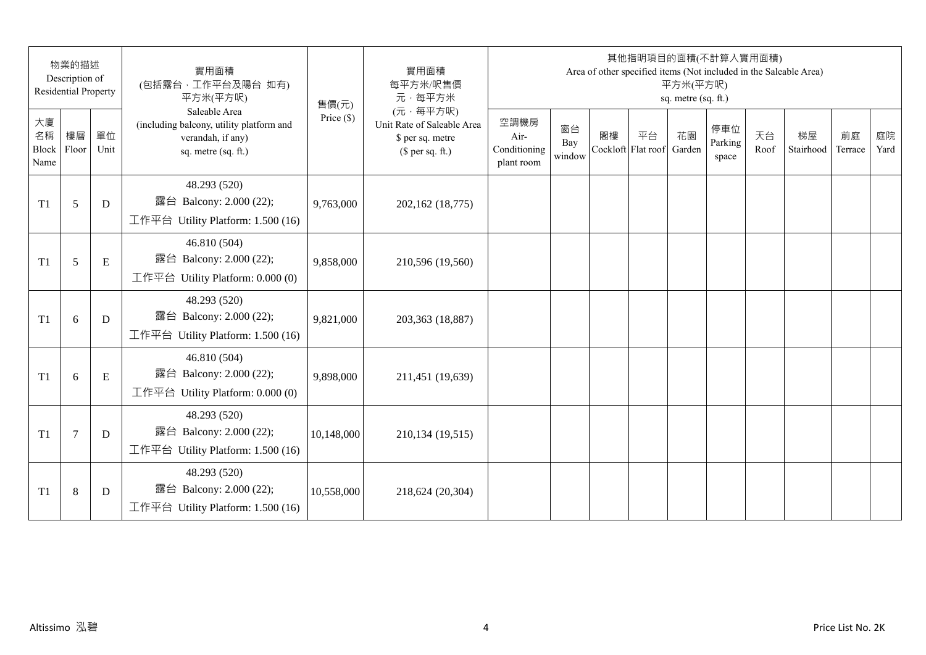|                                 | 物業的描述<br>Description of<br><b>Residential Property</b> |            | 實用面積<br>(包括露台,工作平台及陽台 如有)<br>平方米(平方呎)                                                                 | 售價(元)        | 實用面積<br>每平方米/呎售價<br>元·每平方米                                                     |                                            |                     |                          | 其他指明項目的面積(不計算入實用面積)<br>Area of other specified items (Not included in the Saleable Area) | 平方米(平方呎)<br>sq. metre (sq. ft.) |                         |            |                 |               |            |
|---------------------------------|--------------------------------------------------------|------------|-------------------------------------------------------------------------------------------------------|--------------|--------------------------------------------------------------------------------|--------------------------------------------|---------------------|--------------------------|------------------------------------------------------------------------------------------|---------------------------------|-------------------------|------------|-----------------|---------------|------------|
| 大廈<br>名稱<br>Block Floor<br>Name | 樓層                                                     | 單位<br>Unit | Saleable Area<br>(including balcony, utility platform and<br>verandah, if any)<br>sq. metre (sq. ft.) | Price $(\$)$ | (元·每平方呎)<br>Unit Rate of Saleable Area<br>\$ per sq. metre<br>$$$ per sq. ft.) | 空調機房<br>Air-<br>Conditioning<br>plant room | 窗台<br>Bay<br>window | 閣樓<br>Cockloft Flat roof | 平台                                                                                       | 花園<br>Garden                    | 停車位<br>Parking<br>space | 天台<br>Roof | 梯屋<br>Stairhood | 前庭<br>Terrace | 庭院<br>Yard |
| T1                              | 5                                                      | D          | 48.293 (520)<br>露台 Balcony: 2.000 (22);<br>工作平台 Utility Platform: 1.500 (16)                          | 9,763,000    | 202,162 (18,775)                                                               |                                            |                     |                          |                                                                                          |                                 |                         |            |                 |               |            |
| T1                              | 5                                                      | E          | 46.810 (504)<br>露台 Balcony: 2.000 (22);<br>工作平台 Utility Platform: 0.000 (0)                           | 9,858,000    | 210,596 (19,560)                                                               |                                            |                     |                          |                                                                                          |                                 |                         |            |                 |               |            |
| T1                              | 6                                                      | D          | 48.293 (520)<br>露台 Balcony: 2.000 (22);<br>工作平台 Utility Platform: 1.500 (16)                          | 9,821,000    | 203,363 (18,887)                                                               |                                            |                     |                          |                                                                                          |                                 |                         |            |                 |               |            |
| T1                              | 6                                                      | E          | 46.810 (504)<br>露台 Balcony: 2.000 (22);<br>工作平台 Utility Platform: 0.000 (0)                           | 9,898,000    | 211,451 (19,639)                                                               |                                            |                     |                          |                                                                                          |                                 |                         |            |                 |               |            |
| T1                              | $\overline{7}$                                         | D          | 48.293 (520)<br>露台 Balcony: 2.000 (22);<br>工作平台 Utility Platform: 1.500 (16)                          | 10,148,000   | 210,134 (19,515)                                                               |                                            |                     |                          |                                                                                          |                                 |                         |            |                 |               |            |
| T1                              | $\,8\,$                                                | D          | 48.293 (520)<br>露台 Balcony: 2.000 (22);<br>工作平台 Utility Platform: $1.500(16)$                         | 10,558,000   | 218,624 (20,304)                                                               |                                            |                     |                          |                                                                                          |                                 |                         |            |                 |               |            |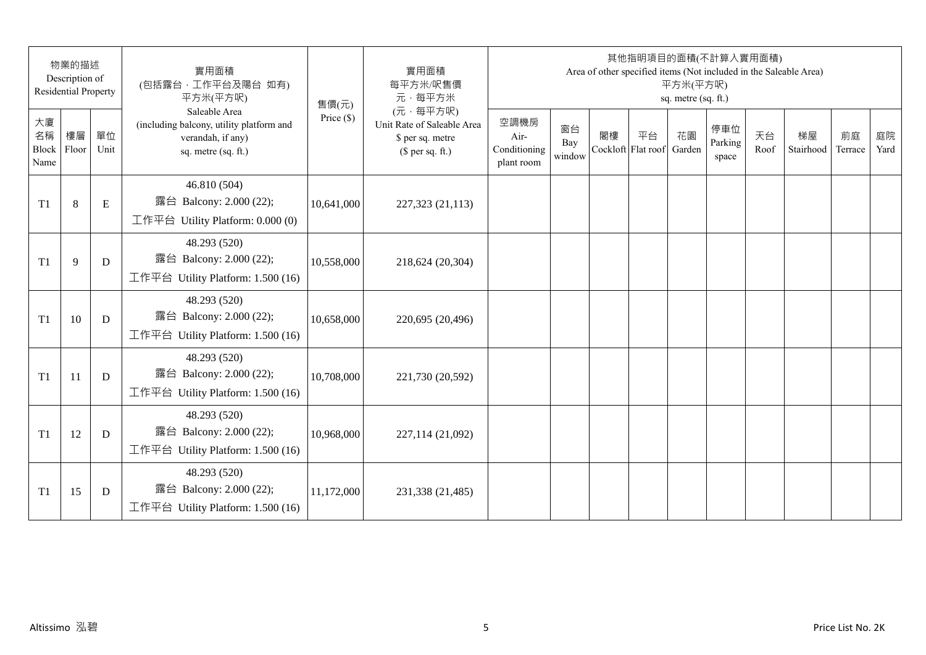|                           | 物業的描述<br>Description of<br><b>Residential Property</b> |            | 實用面積<br>(包括露台,工作平台及陽台 如有)<br>平方米(平方呎)                                                                 | 售價(元)        | 實用面積<br>每平方米/呎售價<br>元·每平方米                                                     |                                            |                     |    | 其他指明項目的面積(不計算入實用面積)      | 平方米(平方呎)<br>sq. metre (sq. ft.) |                         |            | Area of other specified items (Not included in the Saleable Area) |               |            |
|---------------------------|--------------------------------------------------------|------------|-------------------------------------------------------------------------------------------------------|--------------|--------------------------------------------------------------------------------|--------------------------------------------|---------------------|----|--------------------------|---------------------------------|-------------------------|------------|-------------------------------------------------------------------|---------------|------------|
| 大廈<br>名稱<br>Block<br>Name | 樓層<br>Floor                                            | 單位<br>Unit | Saleable Area<br>(including balcony, utility platform and<br>verandah, if any)<br>sq. metre (sq. ft.) | Price $(\$)$ | (元·每平方呎)<br>Unit Rate of Saleable Area<br>\$ per sq. metre<br>$$$ per sq. ft.) | 空調機房<br>Air-<br>Conditioning<br>plant room | 窗台<br>Bay<br>window | 閣樓 | 平台<br>Cockloft Flat roof | 花園<br>Garden                    | 停車位<br>Parking<br>space | 天台<br>Roof | 梯屋<br>Stairhood                                                   | 前庭<br>Terrace | 庭院<br>Yard |
| T1                        | $8\,$                                                  | ${\bf E}$  | 46.810 (504)<br>露台 Balcony: 2.000 (22);<br>工作平台 Utility Platform: $0.000(0)$                          | 10,641,000   | 227,323 (21,113)                                                               |                                            |                     |    |                          |                                 |                         |            |                                                                   |               |            |
| T1                        | 9                                                      | D          | 48.293 (520)<br>露台 Balcony: 2.000 (22);<br>工作平台 Utility Platform: 1.500 (16)                          | 10,558,000   | 218,624 (20,304)                                                               |                                            |                     |    |                          |                                 |                         |            |                                                                   |               |            |
| T1                        | 10                                                     | D          | 48.293 (520)<br>露台 Balcony: 2.000 (22);<br>工作平台 Utility Platform: 1.500 (16)                          | 10,658,000   | 220,695 (20,496)                                                               |                                            |                     |    |                          |                                 |                         |            |                                                                   |               |            |
| T <sub>1</sub>            | 11                                                     | D          | 48.293 (520)<br>露台 Balcony: 2.000 (22);<br>工作平台 Utility Platform: 1.500 (16)                          | 10,708,000   | 221,730 (20,592)                                                               |                                            |                     |    |                          |                                 |                         |            |                                                                   |               |            |
| T <sub>1</sub>            | 12                                                     | D          | 48.293 (520)<br>露台 Balcony: 2.000 (22);<br>工作平台 Utility Platform: 1.500 (16)                          | 10,968,000   | 227,114 (21,092)                                                               |                                            |                     |    |                          |                                 |                         |            |                                                                   |               |            |
| T <sub>1</sub>            | 15                                                     | D          | 48.293 (520)<br>露台 Balcony: 2.000 (22);<br>工作平台 Utility Platform: 1.500 (16)                          | 11,172,000   | 231,338 (21,485)                                                               |                                            |                     |    |                          |                                 |                         |            |                                                                   |               |            |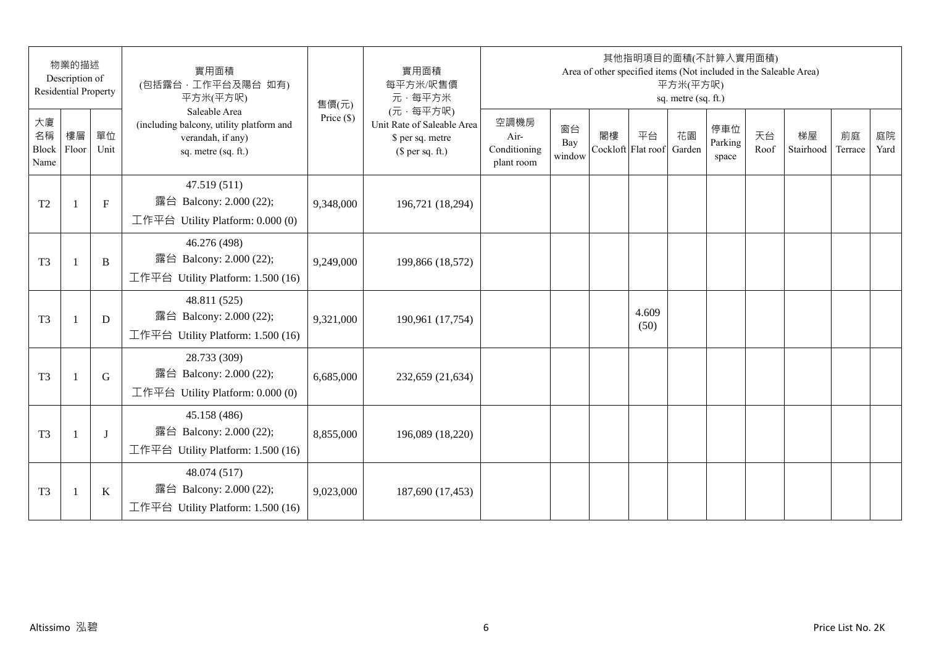|                           | 物業的描述<br>Description of<br><b>Residential Property</b> |              | 實用面積<br>(包括露台,工作平台及陽台 如有)<br>平方米(平方呎)                                                                 | 售價(元)        | 實用面積<br>每平方米/呎售價<br>元·每平方米                                                     |                                            |                     |    | 其他指明項目的面積(不計算入實用面積)<br>Area of other specified items (Not included in the Saleable Area) | 平方米(平方呎)<br>sq. metre (sq. ft.) |                         |            |                 |               |            |
|---------------------------|--------------------------------------------------------|--------------|-------------------------------------------------------------------------------------------------------|--------------|--------------------------------------------------------------------------------|--------------------------------------------|---------------------|----|------------------------------------------------------------------------------------------|---------------------------------|-------------------------|------------|-----------------|---------------|------------|
| 大廈<br>名稱<br>Block<br>Name | 樓層<br>Floor                                            | 單位<br>Unit   | Saleable Area<br>(including balcony, utility platform and<br>verandah, if any)<br>sq. metre (sq. ft.) | Price $(\$)$ | (元·每平方呎)<br>Unit Rate of Saleable Area<br>\$ per sq. metre<br>$$$ per sq. ft.) | 空調機房<br>Air-<br>Conditioning<br>plant room | 窗台<br>Bay<br>window | 閣樓 | 平台<br>Cockloft Flat roof                                                                 | 花園<br>Garden                    | 停車位<br>Parking<br>space | 天台<br>Roof | 梯屋<br>Stairhood | 前庭<br>Terrace | 庭院<br>Yard |
| T <sub>2</sub>            | $\mathbf{1}$                                           | $\mathbf{F}$ | 47.519 (511)<br>露台 Balcony: 2.000 (22);<br>工作平台 Utility Platform: 0.000 (0)                           | 9,348,000    | 196,721 (18,294)                                                               |                                            |                     |    |                                                                                          |                                 |                         |            |                 |               |            |
| T <sub>3</sub>            | $\overline{1}$                                         | B            | 46.276 (498)<br>露台 Balcony: 2.000 (22);<br>工作平台 Utility Platform: 1.500 (16)                          | 9,249,000    | 199,866 (18,572)                                                               |                                            |                     |    |                                                                                          |                                 |                         |            |                 |               |            |
| T <sub>3</sub>            | $\mathbf{1}$                                           | D            | 48.811 (525)<br>露台 Balcony: 2.000 (22);<br>工作平台 Utility Platform: 1.500 (16)                          | 9,321,000    | 190,961 (17,754)                                                               |                                            |                     |    | 4.609<br>(50)                                                                            |                                 |                         |            |                 |               |            |
| T <sub>3</sub>            | $\mathbf{1}$                                           | G            | 28.733 (309)<br>露台 Balcony: 2.000 (22);<br>工作平台 Utility Platform: 0.000 (0)                           | 6,685,000    | 232,659 (21,634)                                                               |                                            |                     |    |                                                                                          |                                 |                         |            |                 |               |            |
| T <sub>3</sub>            |                                                        | $\bf{J}$     | 45.158 (486)<br>露台 Balcony: 2.000 (22);<br>工作平台 Utility Platform: 1.500 (16)                          | 8,855,000    | 196,089 (18,220)                                                               |                                            |                     |    |                                                                                          |                                 |                         |            |                 |               |            |
| T <sub>3</sub>            | $\overline{1}$                                         | $\bf K$      | 48.074 (517)<br>露台 Balcony: 2.000 (22);<br>工作平台 Utility Platform: 1.500 (16)                          | 9,023,000    | 187,690 (17,453)                                                               |                                            |                     |    |                                                                                          |                                 |                         |            |                 |               |            |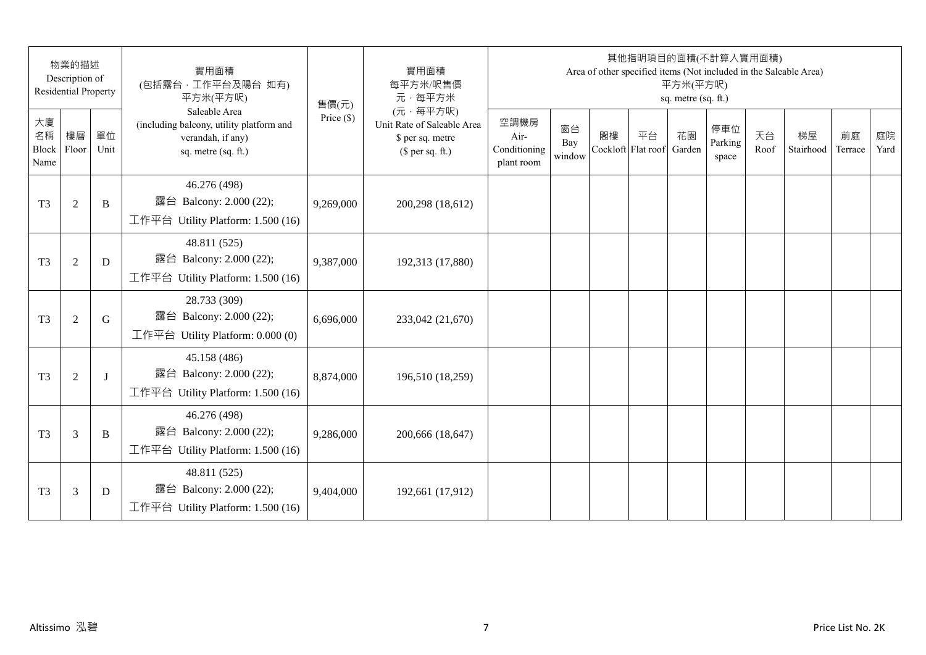|                                 | 物業的描述<br>Description of<br><b>Residential Property</b> |            | 實用面積<br>(包括露台,工作平台及陽台 如有)<br>平方米(平方呎)                                                                 | 售價(元)        | 實用面積<br>每平方米/呎售價<br>元·每平方米                                                     |                                            |                     |    | 其他指明項目的面積(不計算入實用面積)<br>Area of other specified items (Not included in the Saleable Area) | 平方米(平方呎)<br>sq. metre (sq. ft.) |                         |            |                 |               |            |
|---------------------------------|--------------------------------------------------------|------------|-------------------------------------------------------------------------------------------------------|--------------|--------------------------------------------------------------------------------|--------------------------------------------|---------------------|----|------------------------------------------------------------------------------------------|---------------------------------|-------------------------|------------|-----------------|---------------|------------|
| 大廈<br>名稱<br>Block Floor<br>Name | 樓層                                                     | 單位<br>Unit | Saleable Area<br>(including balcony, utility platform and<br>verandah, if any)<br>sq. metre (sq. ft.) | Price $(\$)$ | (元·每平方呎)<br>Unit Rate of Saleable Area<br>\$ per sq. metre<br>$$$ per sq. ft.) | 空調機房<br>Air-<br>Conditioning<br>plant room | 窗台<br>Bay<br>window | 閣樓 | 平台<br>Cockloft Flat roof                                                                 | 花園<br>Garden                    | 停車位<br>Parking<br>space | 天台<br>Roof | 梯屋<br>Stairhood | 前庭<br>Terrace | 庭院<br>Yard |
| T <sub>3</sub>                  | $\overline{2}$                                         | B          | 46.276 (498)<br>露台 Balcony: 2.000 (22);<br>工作平台 Utility Platform: 1.500 (16)                          | 9,269,000    | 200,298 (18,612)                                                               |                                            |                     |    |                                                                                          |                                 |                         |            |                 |               |            |
| T <sub>3</sub>                  | $\mathfrak{2}$                                         | D          | 48.811 (525)<br>露台 Balcony: 2.000 (22);<br>工作平台 Utility Platform: 1.500 (16)                          | 9,387,000    | 192,313 (17,880)                                                               |                                            |                     |    |                                                                                          |                                 |                         |            |                 |               |            |
| T <sub>3</sub>                  | $\mathfrak{2}$                                         | G          | 28.733 (309)<br>露台 Balcony: 2.000 (22);<br>工作平台 Utility Platform: 0.000 (0)                           | 6,696,000    | 233,042 (21,670)                                                               |                                            |                     |    |                                                                                          |                                 |                         |            |                 |               |            |
| T <sub>3</sub>                  | $\overline{2}$                                         | $\bf{J}$   | 45.158 (486)<br>露台 Balcony: 2.000 (22);<br>工作平台 Utility Platform: 1.500 (16)                          | 8,874,000    | 196,510 (18,259)                                                               |                                            |                     |    |                                                                                          |                                 |                         |            |                 |               |            |
| T <sub>3</sub>                  | 3                                                      | B          | 46.276 (498)<br>露台 Balcony: 2.000 (22);<br>工作平台 Utility Platform: 1.500 (16)                          | 9,286,000    | 200,666 (18,647)                                                               |                                            |                     |    |                                                                                          |                                 |                         |            |                 |               |            |
| T <sub>3</sub>                  | 3                                                      | D          | 48.811 (525)<br>露台 Balcony: 2.000 (22);<br>工作平台 Utility Platform: 1.500 (16)                          | 9,404,000    | 192,661 (17,912)                                                               |                                            |                     |    |                                                                                          |                                 |                         |            |                 |               |            |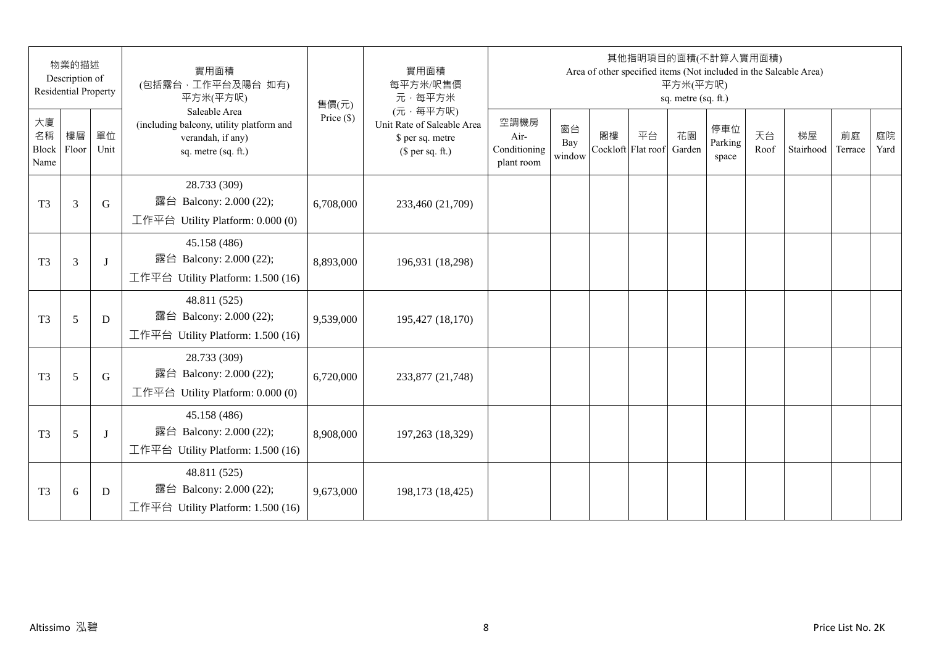|                                 | 物業的描述<br>Description of<br><b>Residential Property</b> |            | 實用面積<br>(包括露台,工作平台及陽台 如有)<br>平方米(平方呎)                                                                 | 售價(元)        | 實用面積<br>每平方米/呎售價<br>元·每平方米                                                     |                                            |                     |                          | 其他指明項目的面積(不計算入實用面積)<br>Area of other specified items (Not included in the Saleable Area) | 平方米(平方呎)<br>sq. metre (sq. ft.) |                         |            |                 |               |            |
|---------------------------------|--------------------------------------------------------|------------|-------------------------------------------------------------------------------------------------------|--------------|--------------------------------------------------------------------------------|--------------------------------------------|---------------------|--------------------------|------------------------------------------------------------------------------------------|---------------------------------|-------------------------|------------|-----------------|---------------|------------|
| 大廈<br>名稱<br>Block Floor<br>Name | 樓層                                                     | 單位<br>Unit | Saleable Area<br>(including balcony, utility platform and<br>verandah, if any)<br>sq. metre (sq. ft.) | Price $(\$)$ | (元·每平方呎)<br>Unit Rate of Saleable Area<br>\$ per sq. metre<br>$$$ per sq. ft.) | 空調機房<br>Air-<br>Conditioning<br>plant room | 窗台<br>Bay<br>window | 閣樓<br>Cockloft Flat roof | 平台                                                                                       | 花園<br>Garden                    | 停車位<br>Parking<br>space | 天台<br>Roof | 梯屋<br>Stairhood | 前庭<br>Terrace | 庭院<br>Yard |
| T <sub>3</sub>                  | 3                                                      | G          | 28.733 (309)<br>露台 Balcony: 2.000 (22);<br>工作平台 Utility Platform: 0.000 (0)                           | 6,708,000    | 233,460 (21,709)                                                               |                                            |                     |                          |                                                                                          |                                 |                         |            |                 |               |            |
| T <sub>3</sub>                  | 3                                                      | J          | 45.158 (486)<br>露台 Balcony: 2.000 (22);<br>工作平台 Utility Platform: 1.500 (16)                          | 8,893,000    | 196,931 (18,298)                                                               |                                            |                     |                          |                                                                                          |                                 |                         |            |                 |               |            |
| T <sub>3</sub>                  | 5                                                      | D          | 48.811 (525)<br>露台 Balcony: 2.000 (22);<br>工作平台 Utility Platform: 1.500 (16)                          | 9,539,000    | 195,427 (18,170)                                                               |                                            |                     |                          |                                                                                          |                                 |                         |            |                 |               |            |
| T <sub>3</sub>                  | 5                                                      | G          | 28.733 (309)<br>露台 Balcony: 2.000 (22);<br>工作平台 Utility Platform: 0.000 (0)                           | 6,720,000    | 233,877 (21,748)                                                               |                                            |                     |                          |                                                                                          |                                 |                         |            |                 |               |            |
| T <sub>3</sub>                  | 5                                                      | J          | 45.158 (486)<br>露台 Balcony: 2.000 (22);<br>工作平台 Utility Platform: 1.500 (16)                          | 8,908,000    | 197,263 (18,329)                                                               |                                            |                     |                          |                                                                                          |                                 |                         |            |                 |               |            |
| T <sub>3</sub>                  | $6\,$                                                  | D          | 48.811 (525)<br>露台 Balcony: 2.000 (22);<br>工作平台 Utility Platform: $1.500(16)$                         | 9,673,000    | 198,173 (18,425)                                                               |                                            |                     |                          |                                                                                          |                                 |                         |            |                 |               |            |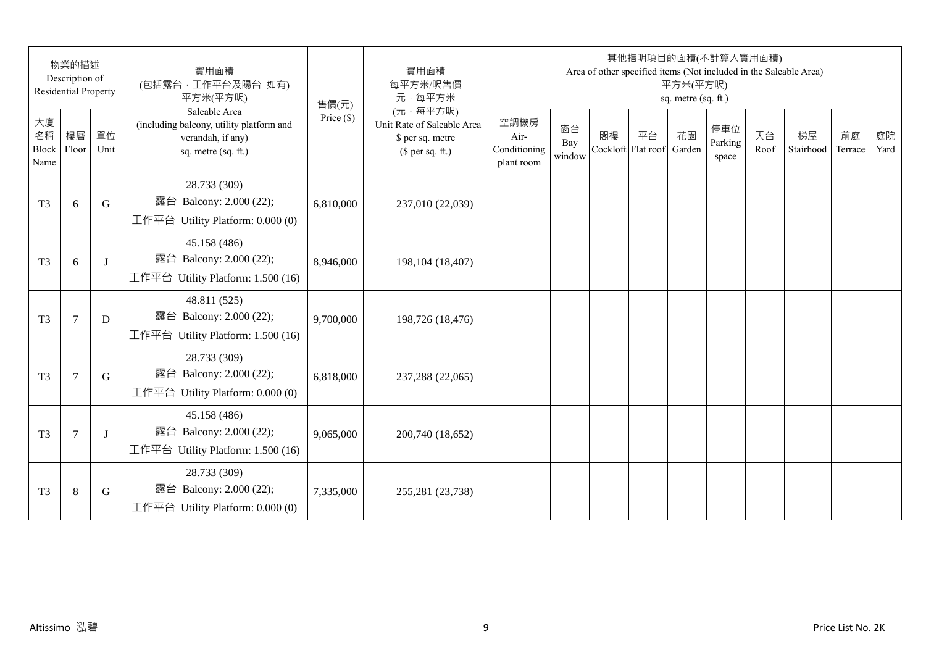|                                 | 物業的描述<br>Description of<br><b>Residential Property</b> |            | 實用面積<br>(包括露台, 工作平台及陽台 如有)<br>平方米(平方呎)                                                                | 售價(元)        | 實用面積<br>每平方米/呎售價<br>元·每平方米                                                     |                                            |                     |                          | 其他指明項目的面積(不計算入實用面積) | 平方米(平方呎)<br>sq. metre (sq. ft.) |                         |            | Area of other specified items (Not included in the Saleable Area) |               |            |
|---------------------------------|--------------------------------------------------------|------------|-------------------------------------------------------------------------------------------------------|--------------|--------------------------------------------------------------------------------|--------------------------------------------|---------------------|--------------------------|---------------------|---------------------------------|-------------------------|------------|-------------------------------------------------------------------|---------------|------------|
| 大廈<br>名稱<br>Block Floor<br>Name | 樓層                                                     | 單位<br>Unit | Saleable Area<br>(including balcony, utility platform and<br>verandah, if any)<br>sq. metre (sq. ft.) | Price $(\$)$ | (元·每平方呎)<br>Unit Rate of Saleable Area<br>\$ per sq. metre<br>$$$ per sq. ft.) | 空調機房<br>Air-<br>Conditioning<br>plant room | 窗台<br>Bay<br>window | 閣樓<br>Cockloft Flat roof | 平台                  | 花園<br>Garden                    | 停車位<br>Parking<br>space | 天台<br>Roof | 梯屋<br>Stairhood                                                   | 前庭<br>Terrace | 庭院<br>Yard |
| T <sub>3</sub>                  | 6                                                      | G          | 28.733 (309)<br>露台 Balcony: 2.000 (22);<br>工作平台 Utility Platform: 0.000 (0)                           | 6,810,000    | 237,010 (22,039)                                                               |                                            |                     |                          |                     |                                 |                         |            |                                                                   |               |            |
| T <sub>3</sub>                  | 6                                                      | $\bf{J}$   | 45.158 (486)<br>露台 Balcony: 2.000 (22);<br>工作平台 Utility Platform: 1.500 (16)                          | 8,946,000    | 198, 104 (18, 407)                                                             |                                            |                     |                          |                     |                                 |                         |            |                                                                   |               |            |
| T <sub>3</sub>                  | $\tau$                                                 | D          | 48.811 (525)<br>露台 Balcony: 2.000 (22);<br>工作平台 Utility Platform: 1.500 (16)                          | 9,700,000    | 198,726 (18,476)                                                               |                                            |                     |                          |                     |                                 |                         |            |                                                                   |               |            |
| T <sub>3</sub>                  | $\overline{7}$                                         | G          | 28.733 (309)<br>露台 Balcony: 2.000 (22);<br>工作平台 Utility Platform: 0.000 (0)                           | 6,818,000    | 237,288 (22,065)                                                               |                                            |                     |                          |                     |                                 |                         |            |                                                                   |               |            |
| T <sub>3</sub>                  | 7                                                      | J          | 45.158 (486)<br>露台 Balcony: 2.000 (22);<br>工作平台 Utility Platform: 1.500 (16)                          | 9,065,000    | 200,740 (18,652)                                                               |                                            |                     |                          |                     |                                 |                         |            |                                                                   |               |            |
| T <sub>3</sub>                  | $\,8\,$                                                | G          | 28.733 (309)<br>露台 Balcony: 2.000 (22);<br>工作平台 Utility Platform: 0.000 (0)                           | 7,335,000    | 255,281 (23,738)                                                               |                                            |                     |                          |                     |                                 |                         |            |                                                                   |               |            |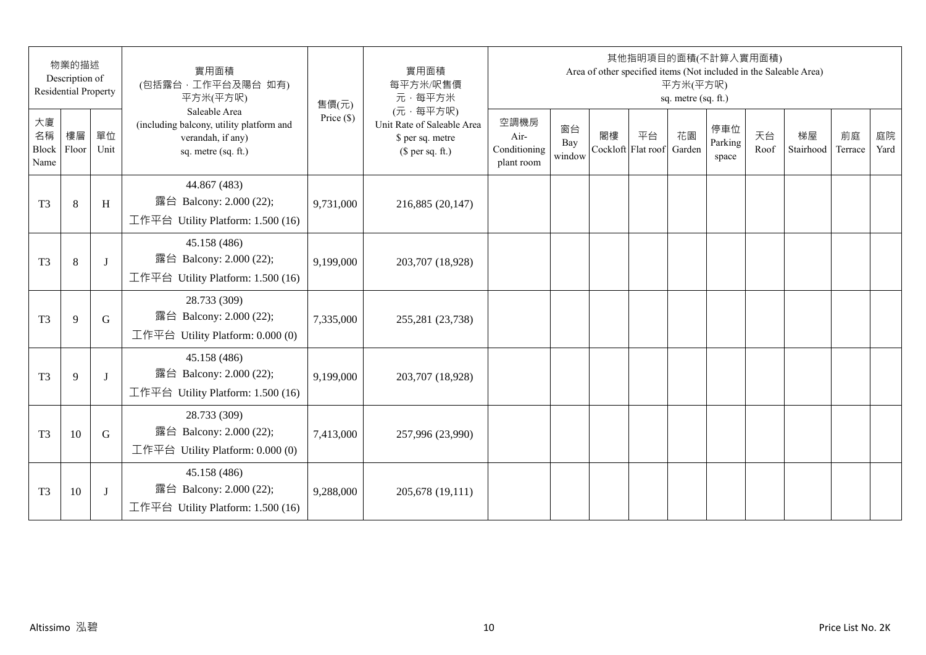|                                 | 物業的描述<br>Description of<br><b>Residential Property</b> |            | 實用面積<br>(包括露台,工作平台及陽台 如有)<br>平方米(平方呎)                                                                 | 售價(元)        | 實用面積<br>每平方米/呎售價<br>元·每平方米                                                     |                                            |                     |    | 其他指明項目的面積(不計算入實用面積)<br>Area of other specified items (Not included in the Saleable Area) | 平方米(平方呎)<br>sq. metre (sq. ft.) |                         |            |                 |               |            |
|---------------------------------|--------------------------------------------------------|------------|-------------------------------------------------------------------------------------------------------|--------------|--------------------------------------------------------------------------------|--------------------------------------------|---------------------|----|------------------------------------------------------------------------------------------|---------------------------------|-------------------------|------------|-----------------|---------------|------------|
| 大廈<br>名稱<br>Block Floor<br>Name | 樓層                                                     | 單位<br>Unit | Saleable Area<br>(including balcony, utility platform and<br>verandah, if any)<br>sq. metre (sq. ft.) | Price $(\$)$ | (元·每平方呎)<br>Unit Rate of Saleable Area<br>\$ per sq. metre<br>$$$ per sq. ft.) | 空調機房<br>Air-<br>Conditioning<br>plant room | 窗台<br>Bay<br>window | 閣樓 | 平台<br>Cockloft Flat roof                                                                 | 花園<br>Garden                    | 停車位<br>Parking<br>space | 天台<br>Roof | 梯屋<br>Stairhood | 前庭<br>Terrace | 庭院<br>Yard |
| T <sub>3</sub>                  | $\,8\,$                                                | H          | 44.867 (483)<br>露台 Balcony: 2.000 (22);<br>工作平台 Utility Platform: 1.500 (16)                          | 9,731,000    | 216,885 (20,147)                                                               |                                            |                     |    |                                                                                          |                                 |                         |            |                 |               |            |
| T <sub>3</sub>                  | $\,8\,$                                                | J          | 45.158 (486)<br>露台 Balcony: 2.000 (22);<br>工作平台 Utility Platform: 1.500 (16)                          | 9,199,000    | 203,707 (18,928)                                                               |                                            |                     |    |                                                                                          |                                 |                         |            |                 |               |            |
| T <sub>3</sub>                  | 9                                                      | G          | 28.733 (309)<br>露台 Balcony: 2.000 (22);<br>工作平台 Utility Platform: 0.000 (0)                           | 7,335,000    | 255,281 (23,738)                                                               |                                            |                     |    |                                                                                          |                                 |                         |            |                 |               |            |
| T <sub>3</sub>                  | 9                                                      | $\bf{J}$   | 45.158 (486)<br>露台 Balcony: 2.000 (22);<br>工作平台 Utility Platform: 1.500 (16)                          | 9,199,000    | 203,707 (18,928)                                                               |                                            |                     |    |                                                                                          |                                 |                         |            |                 |               |            |
| T <sub>3</sub>                  | 10                                                     | G          | 28.733 (309)<br>露台 Balcony: 2.000 (22);<br>工作平台 Utility Platform: 0.000 (0)                           | 7,413,000    | 257,996 (23,990)                                                               |                                            |                     |    |                                                                                          |                                 |                         |            |                 |               |            |
| T <sub>3</sub>                  | 10                                                     | J          | 45.158 (486)<br>露台 Balcony: 2.000 (22);<br>工作平台 Utility Platform: $1.500(16)$                         | 9,288,000    | 205,678 (19,111)                                                               |                                            |                     |    |                                                                                          |                                 |                         |            |                 |               |            |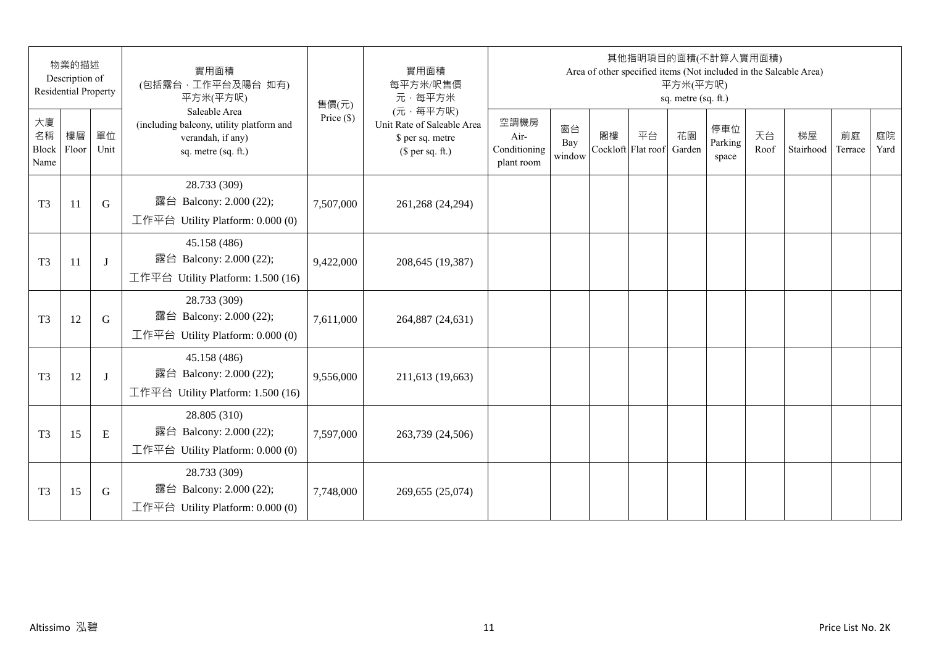| 物業的描述<br>Description of<br><b>Residential Property</b> |    |            | 實用面積<br>(包括露台,工作平台及陽台 如有)<br>平方米(平方呎)                                                                 | 售價(元)        | 實用面積<br>每平方米/呎售價<br>元·每平方米                                                     | 其他指明項目的面積(不計算入實用面積)<br>Area of other specified items (Not included in the Saleable Area)<br>平方米(平方呎)<br>sq. metre (sq. ft.) |                     |    |                          |              |                         |            |                 |               |            |
|--------------------------------------------------------|----|------------|-------------------------------------------------------------------------------------------------------|--------------|--------------------------------------------------------------------------------|-----------------------------------------------------------------------------------------------------------------------------|---------------------|----|--------------------------|--------------|-------------------------|------------|-----------------|---------------|------------|
| 大廈<br>名稱<br>Block Floor<br>Name                        | 樓層 | 單位<br>Unit | Saleable Area<br>(including balcony, utility platform and<br>verandah, if any)<br>sq. metre (sq. ft.) | Price $(\$)$ | (元·每平方呎)<br>Unit Rate of Saleable Area<br>\$ per sq. metre<br>$$$ per sq. ft.) | 空調機房<br>Air-<br>Conditioning<br>plant room                                                                                  | 窗台<br>Bay<br>window | 閣樓 | 平台<br>Cockloft Flat roof | 花園<br>Garden | 停車位<br>Parking<br>space | 天台<br>Roof | 梯屋<br>Stairhood | 前庭<br>Terrace | 庭院<br>Yard |
| T <sub>3</sub>                                         | 11 | G          | 28.733 (309)<br>露台 Balcony: 2.000 (22);<br>工作平台 Utility Platform: 0.000 (0)                           | 7,507,000    | 261,268 (24,294)                                                               |                                                                                                                             |                     |    |                          |              |                         |            |                 |               |            |
| T <sub>3</sub>                                         | 11 | J          | 45.158 (486)<br>露台 Balcony: 2.000 (22);<br>工作平台 Utility Platform: 1.500 (16)                          | 9,422,000    | 208,645 (19,387)                                                               |                                                                                                                             |                     |    |                          |              |                         |            |                 |               |            |
| T <sub>3</sub>                                         | 12 | G          | 28.733 (309)<br>露台 Balcony: 2.000 (22);<br>工作平台 Utility Platform: 0.000 (0)                           | 7,611,000    | 264,887 (24,631)                                                               |                                                                                                                             |                     |    |                          |              |                         |            |                 |               |            |
| T <sub>3</sub>                                         | 12 | J          | 45.158 (486)<br>露台 Balcony: 2.000 (22);<br>工作平台 Utility Platform: 1.500 (16)                          | 9,556,000    | 211,613 (19,663)                                                               |                                                                                                                             |                     |    |                          |              |                         |            |                 |               |            |
| T <sub>3</sub>                                         | 15 | E          | 28.805 (310)<br>露台 Balcony: 2.000 (22);<br>工作平台 Utility Platform: $0.000(0)$                          | 7,597,000    | 263,739 (24,506)                                                               |                                                                                                                             |                     |    |                          |              |                         |            |                 |               |            |
| T <sub>3</sub>                                         | 15 | G          | 28.733 (309)<br>露台 Balcony: 2.000 (22);<br>工作平台 Utility Platform: 0.000 (0)                           | 7,748,000    | 269,655 (25,074)                                                               |                                                                                                                             |                     |    |                          |              |                         |            |                 |               |            |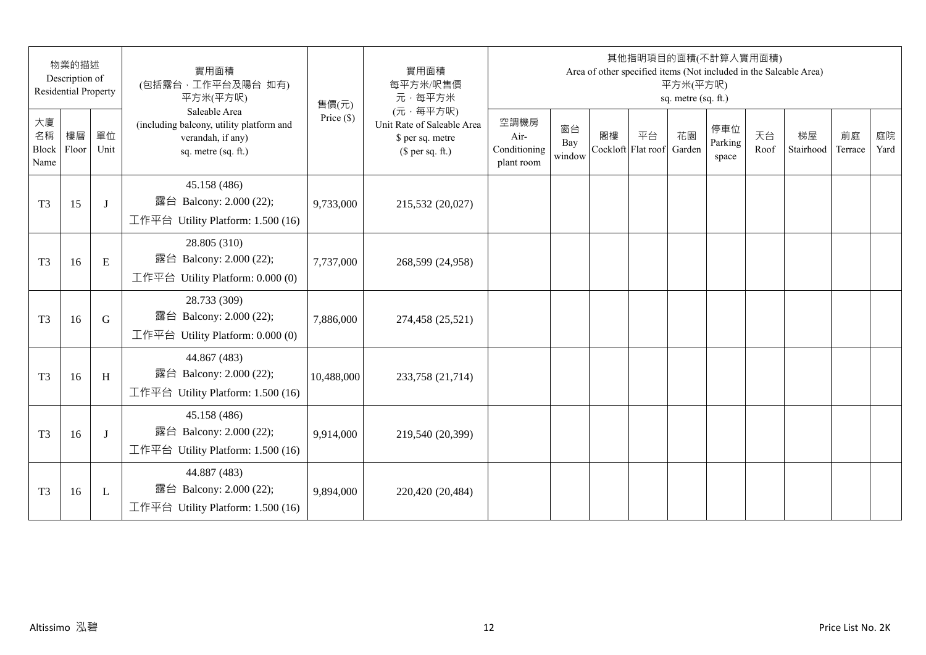| 物業的描述<br>Description of<br><b>Residential Property</b> |    |              | 實用面積<br>(包括露台,工作平台及陽台 如有)<br>平方米(平方呎)                                                                 | 售價(元)        | 實用面積<br>每平方米/呎售價<br>元·每平方米                                                     | 其他指明項目的面積(不計算入實用面積)<br>Area of other specified items (Not included in the Saleable Area)<br>平方米(平方呎)<br>sq. metre (sq. ft.) |                     |                          |    |              |                         |            |                 |               |            |
|--------------------------------------------------------|----|--------------|-------------------------------------------------------------------------------------------------------|--------------|--------------------------------------------------------------------------------|-----------------------------------------------------------------------------------------------------------------------------|---------------------|--------------------------|----|--------------|-------------------------|------------|-----------------|---------------|------------|
| 大廈<br>名稱<br>Block Floor<br>Name                        | 樓層 | 單位<br>Unit   | Saleable Area<br>(including balcony, utility platform and<br>verandah, if any)<br>sq. metre (sq. ft.) | Price $(\$)$ | (元·每平方呎)<br>Unit Rate of Saleable Area<br>\$ per sq. metre<br>$$$ per sq. ft.) | 空調機房<br>Air-<br>Conditioning<br>plant room                                                                                  | 窗台<br>Bay<br>window | 閣樓<br>Cockloft Flat roof | 平台 | 花園<br>Garden | 停車位<br>Parking<br>space | 天台<br>Roof | 梯屋<br>Stairhood | 前庭<br>Terrace | 庭院<br>Yard |
| T <sub>3</sub>                                         | 15 | J            | 45.158 (486)<br>露台 Balcony: 2.000 (22);<br>工作平台 Utility Platform: 1.500 (16)                          | 9,733,000    | 215,532 (20,027)                                                               |                                                                                                                             |                     |                          |    |              |                         |            |                 |               |            |
| T <sub>3</sub>                                         | 16 | E            | 28.805 (310)<br>露台 Balcony: 2.000 (22);<br>工作平台 Utility Platform: 0.000 (0)                           | 7,737,000    | 268,599 (24,958)                                                               |                                                                                                                             |                     |                          |    |              |                         |            |                 |               |            |
| T <sub>3</sub>                                         | 16 | G            | 28.733 (309)<br>露台 Balcony: 2.000 (22);<br>工作平台 Utility Platform: 0.000 (0)                           | 7,886,000    | 274,458 (25,521)                                                               |                                                                                                                             |                     |                          |    |              |                         |            |                 |               |            |
| T <sub>3</sub>                                         | 16 | H            | 44.867 (483)<br>露台 Balcony: 2.000 (22);<br>工作平台 Utility Platform: 1.500 (16)                          | 10,488,000   | 233,758 (21,714)                                                               |                                                                                                                             |                     |                          |    |              |                         |            |                 |               |            |
| T <sub>3</sub>                                         | 16 | J            | 45.158 (486)<br>露台 Balcony: 2.000 (22);<br>工作平台 Utility Platform: 1.500 (16)                          | 9,914,000    | 219,540 (20,399)                                                               |                                                                                                                             |                     |                          |    |              |                         |            |                 |               |            |
| T <sub>3</sub>                                         | 16 | $\mathbf{L}$ | 44.887 (483)<br>露台 Balcony: 2.000 (22);<br>工作平台 Utility Platform: $1.500(16)$                         | 9,894,000    | 220,420 (20,484)                                                               |                                                                                                                             |                     |                          |    |              |                         |            |                 |               |            |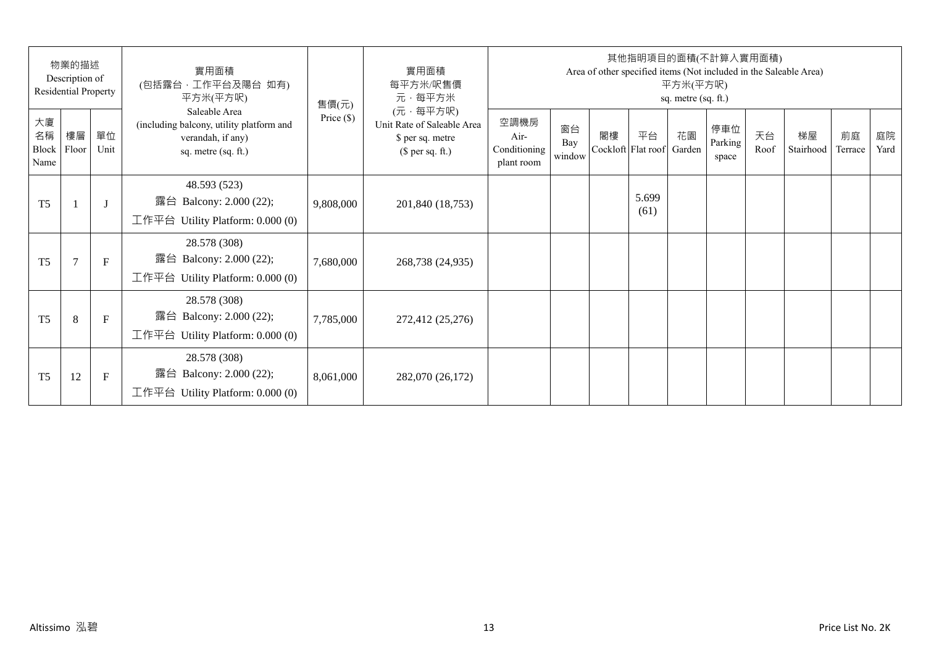| 物業的描述<br>Description of<br>Residential Property |                |              | 實用面積<br>(包括露台,工作平台及陽台 如有)<br>平方米(平方呎)                                                                 | 售價(元)        | 實用面積<br>每平方米/呎售價<br>元·每平方米                                                     | 其他指明項目的面積(不計算入實用面積)<br>Area of other specified items (Not included in the Saleable Area)<br>平方米(平方呎)<br>sq. metre (sq. ft.) |                     |    |                          |              |                         |            |                 |               |            |
|-------------------------------------------------|----------------|--------------|-------------------------------------------------------------------------------------------------------|--------------|--------------------------------------------------------------------------------|-----------------------------------------------------------------------------------------------------------------------------|---------------------|----|--------------------------|--------------|-------------------------|------------|-----------------|---------------|------------|
| 大廈<br>名稱<br>Block<br>Name                       | 樓層<br>Floor    | 單位<br>Unit   | Saleable Area<br>(including balcony, utility platform and<br>verandah, if any)<br>sq. metre (sq. ft.) | Price $(\$)$ | (元·每平方呎)<br>Unit Rate of Saleable Area<br>\$ per sq. metre<br>$$$ per sq. ft.) | 空調機房<br>Air-<br>Conditioning<br>plant room                                                                                  | 窗台<br>Bay<br>window | 閣樓 | 平台<br>Cockloft Flat roof | 花園<br>Garden | 停車位<br>Parking<br>space | 天台<br>Roof | 梯屋<br>Stairhood | 前庭<br>Terrace | 庭院<br>Yard |
| T <sub>5</sub>                                  |                | $\mathbf{J}$ | 48.593 (523)<br>露台 Balcony: 2.000 (22);<br>工作平台 Utility Platform: 0.000 (0)                           | 9,808,000    | 201,840 (18,753)                                                               |                                                                                                                             |                     |    | 5.699<br>(61)            |              |                         |            |                 |               |            |
| T <sub>5</sub>                                  | $\overline{7}$ | $\mathbf{F}$ | 28.578 (308)<br>露台 Balcony: 2.000 (22);<br>工作平台 Utility Platform: $0.000(0)$                          | 7,680,000    | 268,738 (24,935)                                                               |                                                                                                                             |                     |    |                          |              |                         |            |                 |               |            |
| T <sub>5</sub>                                  | 8              | $\mathbf{F}$ | 28.578 (308)<br>露台 Balcony: 2.000 (22);<br>工作平台 Utility Platform: $0.000(0)$                          | 7,785,000    | 272,412 (25,276)                                                               |                                                                                                                             |                     |    |                          |              |                         |            |                 |               |            |
| T <sub>5</sub>                                  | 12             | F            | 28.578 (308)<br>Balcony: 2.000 (22);<br>露台<br>工作平台 Utility Platform: $0.000(0)$                       | 8,061,000    | 282,070 (26,172)                                                               |                                                                                                                             |                     |    |                          |              |                         |            |                 |               |            |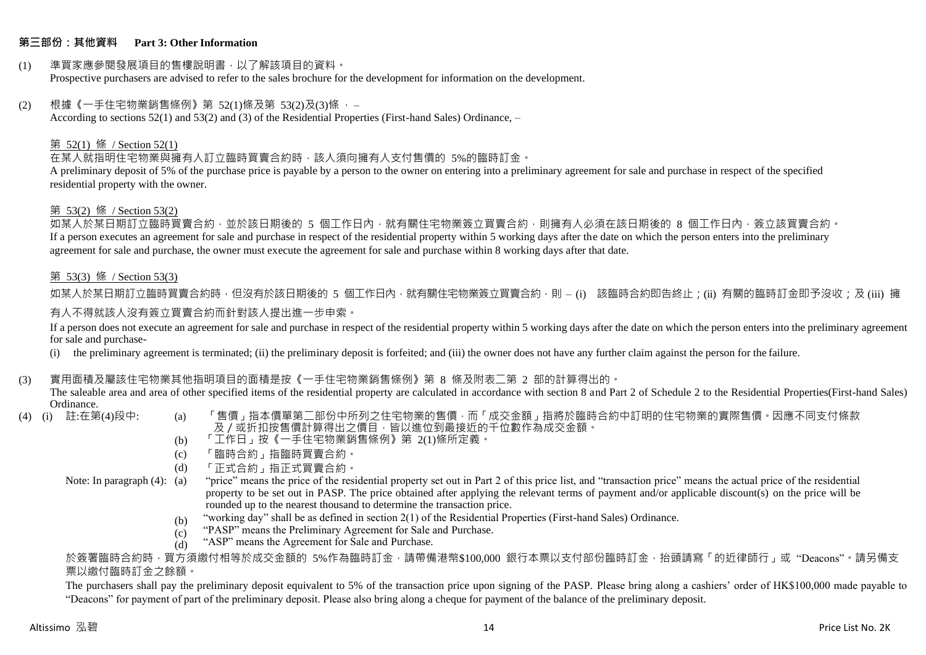### **第三部份:其他資料 Part 3: Other Information**

#### (1) 準買家應參閱發展項目的售樓說明書,以了解該項目的資料。 Prospective purchasers are advised to refer to the sales brochure for the development for information on the development.

### $(2)$  根據《一手住宅物業銷售條例》第 52(1)條及第 53(2)及(3)條,

According to sections 52(1) and 53(2) and (3) of the Residential Properties (First-hand Sales) Ordinance, –

### 第 52(1) 條 / Section 52(1)

在某人就指明住宅物業與擁有人訂立臨時買賣合約時,該人須向擁有人支付售價的 5%的臨時訂金。

A preliminary deposit of 5% of the purchase price is payable by a person to the owner on entering into a preliminary agreement for sale and purchase in respect of the specified residential property with the owner.

### 第 53(2) 條 / Section 53(2)

如某人於某日期訂立臨時買賣合約,並於該日期後的 5 個工作日內,就有關住宅物業簽立買賣合約,則擁有人必須在該日期後的 8 個工作日內,簽立該買賣合約。 If a person executes an agreement for sale and purchase in respect of the residential property within 5 working days after the date on which the person enters into the preliminary agreement for sale and purchase, the owner must execute the agreement for sale and purchase within 8 working days after that date.

### 第 53(3) 條 / Section 53(3)

如某人於某日期訂立臨時買賣合約時,但沒有於該日期後的 5 個工作日內,就有關住宅物業簽立買賣合約,則 – (i) 該臨時合約即告終止;(ii) 有關的臨時訂金即予沒收;及 (iii) 擁 有人不得就該人沒有簽立買賣合約而針對該人提出進一步申索。

If a person does not execute an agreement for sale and purchase in respect of the residential property within 5 working days after the date on which the person enters into the preliminary agreement for sale and purchase-

(i) the preliminary agreement is terminated; (ii) the preliminary deposit is forfeited; and (iii) the owner does not have any further claim against the person for the failure.

### (3) 實用面積及屬該住宅物業其他指明項目的面積是按《一手住宅物業銷售條例》第 8 條及附表二第 2 部的計算得出的。

The saleable area and area of other specified items of the residential property are calculated in accordance with section 8 and Part 2 of Schedule 2 to the Residential Properties(First-hand Sales) Ordinance.<br>(4) (i) 註:在第(4)段中:

- 
- (a) 「售價」指本價單第二部份中所列之住宅物業的售價,而「成交金額」指將於臨時合約中訂明的住宅物業的實際售價。因應不同支付條款 及/或折扣按售價計算得出之價目,皆以進位到最接近的千位數作為成交金額。
- (b) 「工作日」按《一手住宅物業銷售條例》第 2(1)條所定義。
- (c) 「臨時合約」指臨時買賣合約。
- (d) 「正式合約」指正式買賣合約。
- Note: In paragraph (4): (a)
- "price" means the price of the residential property set out in Part 2 of this price list, and "transaction price" means the actual price of the residential property to be set out in PASP. The price obtained after applying the relevant terms of payment and/or applicable discount(s) on the price will be rounded up to the nearest thousand to determine the transaction price.
	- (b) "working day" shall be as defined in section 2(1) of the Residential Properties (First-hand Sales) Ordinance.
	- (c) "PASP" means the Preliminary Agreement for Sale and Purchase.
	- (d) "ASP" means the Agreement for Sale and Purchase.

於簽署臨時合約時,買方須繳付相等於成交金額的 5%作為臨時訂金,請帶備港幣\$100,000 銀行本票以支付部份臨時訂金,抬頭請寫「的近律師行」或"Deacons"。請另備支 票以繳付臨時訂金之餘額。

The purchasers shall pay the preliminary deposit equivalent to 5% of the transaction price upon signing of the PASP. Please bring along a cashiers' order of HK\$100,000 made payable to "Deacons" for payment of part of the preliminary deposit. Please also bring along a cheque for payment of the balance of the preliminary deposit.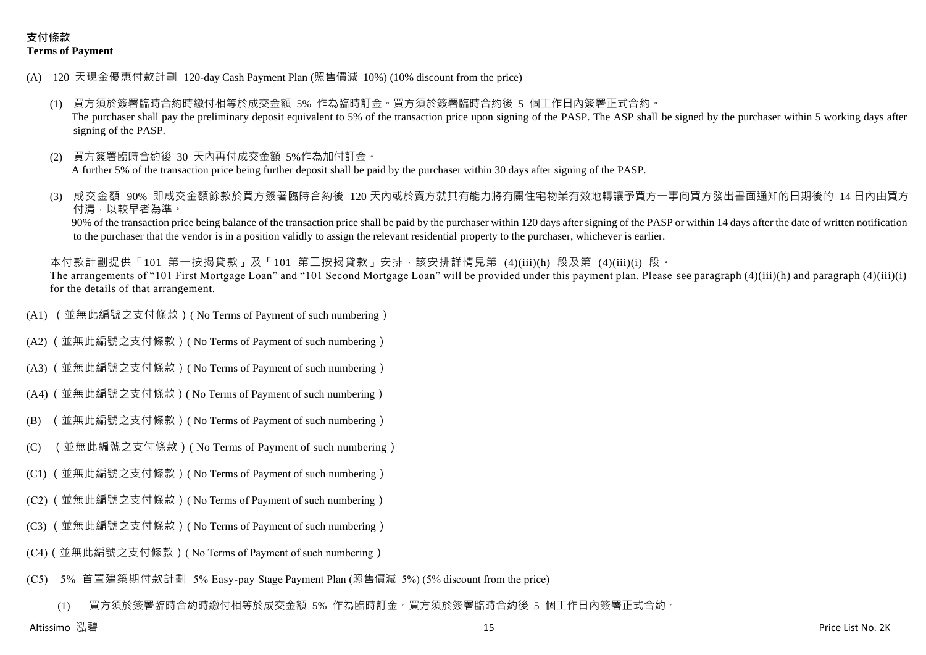- (A) 120 天現金優惠付款計劃 120-day Cash Payment Plan (照售價減 10%) (10% discount from the price)
	- (1) 買方須於簽署臨時合約時繳付相等於成交金額 5% 作為臨時訂金。買方須於簽署臨時合約後 5 個工作日內簽署正式合約。 The purchaser shall pay the preliminary deposit equivalent to 5% of the transaction price upon signing of the PASP. The ASP shall be signed by the purchaser within 5 working days after signing of the PASP.
	- 買方簽署臨時合約後 30 天內再付成交金額 5%作為加付訂金。 A further 5% of the transaction price being further deposit shall be paid by the purchaser within 30 days after signing of the PASP.
	- 成交金額 90% 即成交金額餘款於買方簽署臨時合約後 120 天内或於賣方就其有能力將有關住宅物業有效地轉讓予買方一事向買方發出書面通知的日期後的 14 日內由買方 付清,以較早者為準。

90% of the transaction price being balance of the transaction price shall be paid by the purchaser within 120 days after signing of the PASP or within 14 days after the date of written notification to the purchaser that the vendor is in a position validly to assign the relevant residential property to the purchaser, whichever is earlier.

本付款計劃提供「101 第一按揭貸款」及「101 第二按揭貸款」安排,該安排詳情見第 (4)(iii)(h) 段及第 (4)(iii)(i) 段。 The arrangements of "101 First Mortgage Loan" and "101 Second Mortgage Loan" will be provided under this payment plan. Please see paragraph (4)(iii)(h) and paragraph (4)(iii)(i) for the details of that arrangement.

- (A1) (並無此編號之支付條款)( No Terms of Payment of such numbering)
- (A2) (並無此編號之支付條款)( No Terms of Payment of such numbering)
- (A3) (並無此編號之支付條款)( No Terms of Payment of such numbering)
- (A4) (並無此編號之支付條款)( No Terms of Payment of such numbering)
- (B) (並無此編號之支付條款)( No Terms of Payment of such numbering)
- (C) (並無此編號之支付條款)( No Terms of Payment of such numbering)
- (C1) (並無此編號之支付條款)( No Terms of Payment of such numbering)
- (C2) (並無此編號之支付條款)( No Terms of Payment of such numbering)
- (C3) (並無此編號之支付條款)( No Terms of Payment of such numbering)
- (C4)(並無此編號之支付條款)( No Terms of Payment of such numbering)

#### (C5) 5% 首置建築期付款計劃 5% Easy-pay Stage Payment Plan (照售價減 5%) (5% discount from the price)

(1) 買方須於簽署臨時合約時繳付相等於成交金額 5% 作為臨時訂金。買方須於簽署臨時合約後 5 個工作日內簽署正式合約。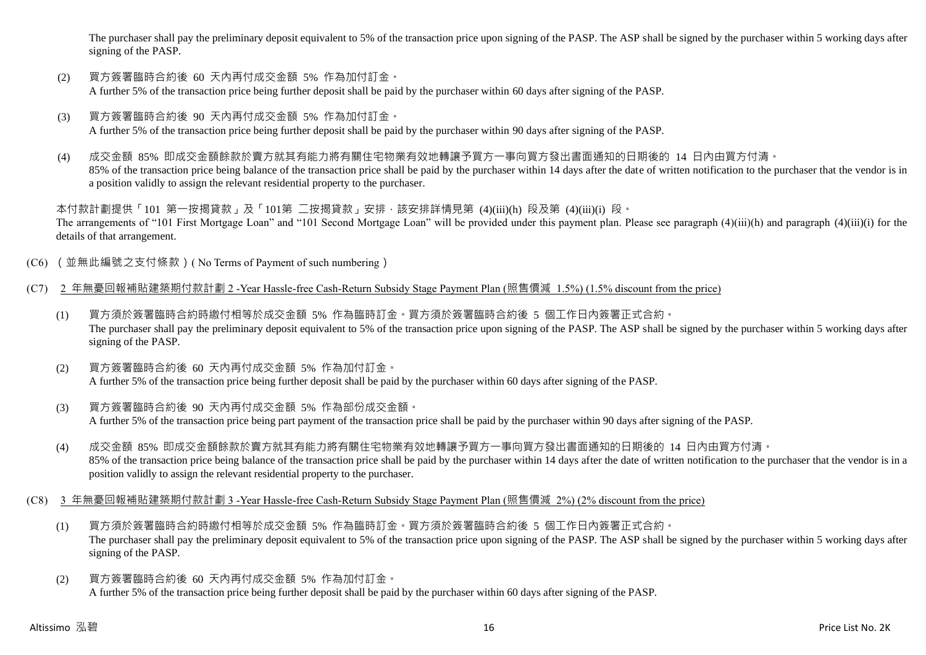The purchaser shall pay the preliminary deposit equivalent to 5% of the transaction price upon signing of the PASP. The ASP shall be signed by the purchaser within 5 working days after signing of the PASP.

- (2) 買方簽署臨時合約後 60 天內再付成交金額 5% 作為加付訂金。 A further 5% of the transaction price being further deposit shall be paid by the purchaser within 60 days after signing of the PASP.
- (3) 買方簽署臨時合約後 90 天內再付成交金額 5% 作為加付訂金。 A further 5% of the transaction price being further deposit shall be paid by the purchaser within 90 days after signing of the PASP.
- (4) 成交金額 85% 即成交金額餘款於賣方就其有能力將有關住宅物業有效地轉讓予買方一事向買方發出書面通知的日期後的 14 日內由買方付清。 85% of the transaction price being balance of the transaction price shall be paid by the purchaser within 14 days after the date of written notification to the purchaser that the vendor is in a position validly to assign the relevant residential property to the purchaser.

本付款計劃提供「101 第一按揭貸款」及「101第 二按揭貸款」安排,該安排詳情見第 (4)(iii)(h) 段及第 (4)(iii)(i) 段。 The arrangements of "101 First Mortgage Loan" and "101 Second Mortgage Loan" will be provided under this payment plan. Please see paragraph (4)(iii)(h) and paragraph (4)(iii)(i) for the details of that arrangement.

- (C6) (並無此編號之支付條款)( No Terms of Payment of such numbering)
- (C7) 2 年無憂回報補貼建築期付款計劃 2 -Year Hassle-free Cash-Return Subsidy Stage Payment Plan (照售價減 1.5%) (1.5% discount from the price)
	- (1) 買方須於簽署臨時合約時繳付相等於成交金額 5% 作為臨時訂金。買方須於簽署臨時合約後 5 個工作日內簽署正式合約。 The purchaser shall pay the preliminary deposit equivalent to 5% of the transaction price upon signing of the PASP. The ASP shall be signed by the purchaser within 5 working days after signing of the PASP.
	- (2) 買方簽署臨時合約後 60 天內再付成交金額 5% 作為加付訂金。 A further 5% of the transaction price being further deposit shall be paid by the purchaser within 60 days after signing of the PASP.
	- (3) 買方簽署臨時合約後 90 天內再付成交金額 5% 作為部份成交金額。 A further 5% of the transaction price being part payment of the transaction price shall be paid by the purchaser within 90 days after signing of the PASP.
	- (4) 成交金額 85% 即成交金額餘款於賣方就其有能力將有關住宅物業有效地轉讓予買方一事向買方發出書面通知的日期後的 14 日內由買方付清。 85% of the transaction price being balance of the transaction price shall be paid by the purchaser within 14 days after the date of written notification to the purchaser that the vendor is in a position validly to assign the relevant residential property to the purchaser.
- (C8) 3 年無憂回報補貼建築期付款計劃 3 -Year Hassle-free Cash-Return Subsidy Stage Payment Plan (照售價減 2%) (2% discount from the price)
	- (1) 買方須於簽署臨時合約時繳付相等於成交金額 5% 作為臨時訂金。買方須於簽署臨時合約後 5 個工作日內簽署正式合約。 The purchaser shall pay the preliminary deposit equivalent to 5% of the transaction price upon signing of the PASP. The ASP shall be signed by the purchaser within 5 working days after signing of the PASP.
	- (2) 買方簽署臨時合約後 60 天內再付成交金額 5% 作為加付訂金。 A further 5% of the transaction price being further deposit shall be paid by the purchaser within 60 days after signing of the PASP.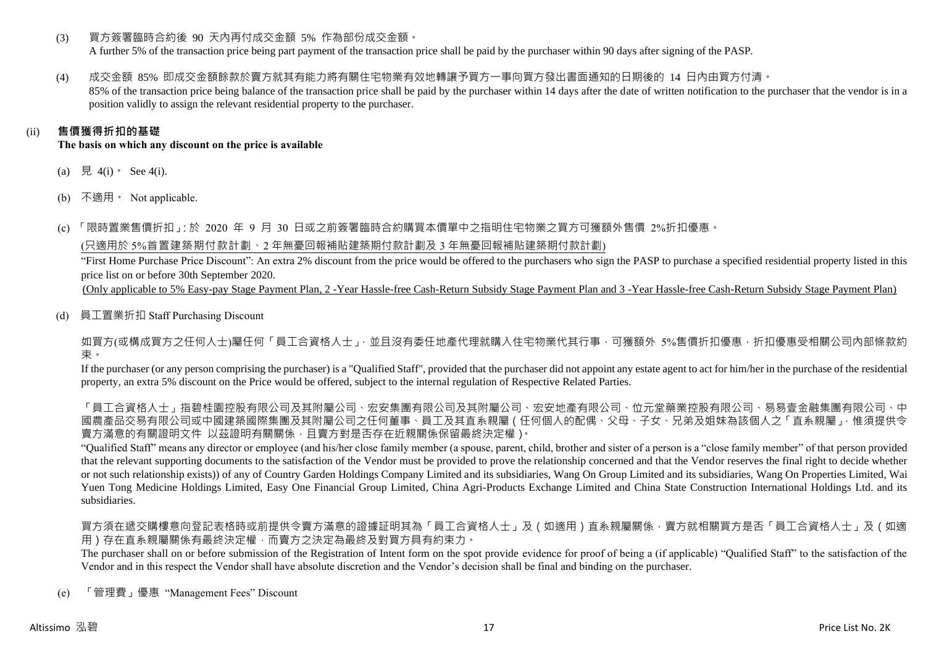(3) 買方簽署臨時合約後 90 天內再付成交金額 5% 作為部份成交金額。

A further 5% of the transaction price being part payment of the transaction price shall be paid by the purchaser within 90 days after signing of the PASP.

(4) 成交金額 85% 即成交金額餘款於賣方就其有能力將有關住宅物業有效地轉讓予買方一事向買方發出書面通知的日期後的 14 日內由買方付清。 85% of the transaction price being balance of the transaction price shall be paid by the purchaser within 14 days after the date of written notification to the purchaser that the vendor is in a position validly to assign the relevant residential property to the purchaser.

# (ii) **售價獲得折扣的基礎**

**The basis on which any discount on the price is available**

- (a) 見 4(i)  $\text{See } 4(i)$ .
- (b) 不適用。 Not applicable.

(c) 「限時置業售價折扣」:於 2020 年 9 月 30 日或之前簽署臨時合約購買本價單中之指明住宅物業之買方可獲額外售價 2%折扣優惠。

(只適用於 5%首置建築期付款計劃、2 年無憂回報補貼建築期付款計劃及 3 年無憂回報補貼建築期付款計劃)

"First Home Purchase Price Discount": An extra 2% discount from the price would be offered to the purchasers who sign the PASP to purchase a specified residential property listed in this price list on or before 30th September 2020.

(Only applicable to 5% Easy-pay Stage Payment Plan, 2 -Year Hassle-free Cash-Return Subsidy Stage Payment Plan and 3 -Year Hassle-free Cash-Return Subsidy Stage Payment Plan)

(d) 員工置業折扣 Staff Purchasing Discount

如買方(或構成買方之任何人士)屬任何「員工合資格人士」,並且沒有委任地產代理就購入住宅物業代其行事,可獲額外 5%售價折扣優惠,折扣優惠受相關公司內部條款約 束。

If the purchaser (or any person comprising the purchaser) is a "Qualified Staff", provided that the purchaser did not appoint any estate agent to act for him/her in the purchase of the residential property, an extra 5% discount on the Price would be offered, subject to the internal regulation of Respective Related Parties.

「員工合資格人士」指碧桂園控股有限公司及其國有限公司及其內屬公司、宏安地產有限公司、位元堂藥業控股有限公司、易易壹金融集團有限公司、中 國農產品交易有限公司或中國建築國際集團及其附屬公司之任何董事、員工及其直系親屬(任何個人的配偶、父母、子女、兄弟及姐妹為該個人之「直系親屬」,惟須提供令 賣方滿意的有關證明文件 以茲證明有關關係,且賣方對是否存在近親關係保留最終決定權)。

"Qualified Staff" means any director or employee (and his/her close family member (a spouse, parent, child, brother and sister of a person is a "close family member" of that person provided that the relevant supporting documents to the satisfaction of the Vendor must be provided to prove the relationship concerned and that the Vendor reserves the final right to decide whether or not such relationship exists)) of any of Country Garden Holdings Company Limited and its subsidiaries, Wang On Group Limited and its subsidiaries, Wang On Properties Limited, Wai Yuen Tong Medicine Holdings Limited, Easy One Financial Group Limited, China Agri-Products Exchange Limited and China State Construction International Holdings Ltd. and its subsidiaries.

買方須在遞交購樓意向登記表格時或前提供令賣方滿意的證據証明其為「員工合資格人士」及(如適用)直系親屬關係,賣方就相關買方是否「員工合資格人士」及(如適 用)存在直系親屬關係有最終決定權,而賣方之決定為最終及對買方具有約束力。

The purchaser shall on or before submission of the Registration of Intent form on the spot provide evidence for proof of being a (if applicable) "Qualified Staff" to the satisfaction of the Vendor and in this respect the Vendor shall have absolute discretion and the Vendor's decision shall be final and binding on the purchaser.

(e) 「管理費」優惠 "Management Fees" Discount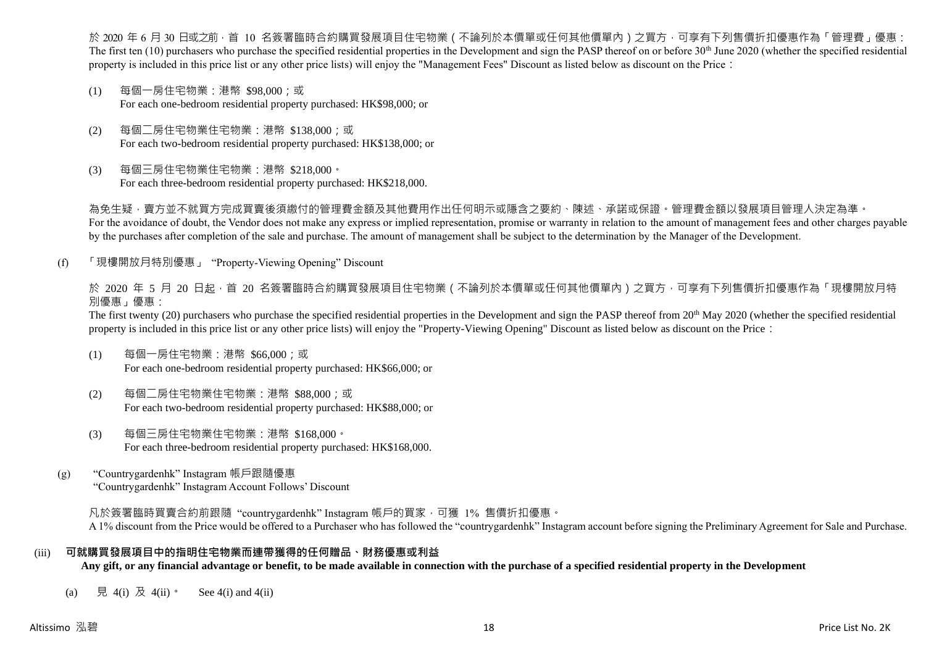於 2020 年 6 月 30 日或之前 · 首 10 名簽署臨時合約購買發展項目住宅物業(不論列於本價單或任何其他價單內)之買方 · 可享有下列售價折扣優惠作為「管理費」優惠: The first ten  $(10)$  purchasers who purchase the specified residential properties in the Development and sign the PASP thereof on or before 30<sup>th</sup> June 2020 (whether the specified residential property is included in this price list or any other price lists) will enjoy the "Management Fees" Discount as listed below as discount on the Price:

- (1) 每個一房住宅物業:港幣 \$98,000;或 For each one-bedroom residential property purchased: HK\$98,000; or
- (2) 每個二房住宅物業住宅物業:港幣 \$138,000;或 For each two-bedroom residential property purchased: HK\$138,000; or
- (3) 每個三房住宅物業住宅物業:港幣 \$218,000。 For each three-bedroom residential property purchased: HK\$218,000.

為免生疑,賣方並不就買方完成買賣後須繳付的管理費金額及其他費用作出任何明示或隱含之要約、陳述、承諾或保證。管理費金額以發展項目管理人決定為準。 For the avoidance of doubt, the Vendor does not make any express or implied representation, promise or warranty in relation to the amount of management fees and other charges payable by the purchases after completion of the sale and purchase. The amount of management shall be subject to the determination by the Manager of the Development.

(f) 「現樓開放月特別優惠」 "Property-Viewing Opening" Discount

於 2020 年 5 月 20 日起 ·首 20 名簽署臨時合約購買發展項目住宅物業 ( 不論列於本價單或任何其他價單內 ) 之買方 · 可享有下列售價折扣優惠作為「現樓開放月特 別優惠」優惠:

The first twenty (20) purchasers who purchase the specified residential properties in the Development and sign the PASP thereof from 20<sup>th</sup> May 2020 (whether the specified residential property is included in this price list or any other price lists) will enjoy the "Property-Viewing Opening" Discount as listed below as discount on the Price:

- (1) 每個一房住宅物業:港幣 \$66,000;或 For each one-bedroom residential property purchased: HK\$66,000; or
- (2) 每個二房住宅物業住宅物業:港幣 \$88,000;或 For each two-bedroom residential property purchased: HK\$88,000; or
- (3) 每個三房住宅物業住宅物業:港幣 \$168,000。 For each three-bedroom residential property purchased: HK\$168,000.
- (g) "Countrygardenhk" Instagram 帳戶跟隨優惠 "Countrygardenhk" Instagram Account Follows' Discount

凡於簽署臨時買賣合約前跟隨"countrygardenhk" Instagram 帳戶的買家,可獲 1% 售價折扣優惠。 A 1% discount from the Price would be offered to a Purchaser who has followed the "countrygardenhk" Instagram account before signing the Preliminary Agreement for Sale and Purchase.

### (iii) **可就購買發展項目中的指明住宅物業而連帶獲得的任何贈品、財務優惠或利益**

**Any gift, or any financial advantage or benefit, to be made available in connection with the purchase of a specified residential property in the Development**

(a) 見 4(i) 及 4(ii)。 See 4(i) and 4(ii)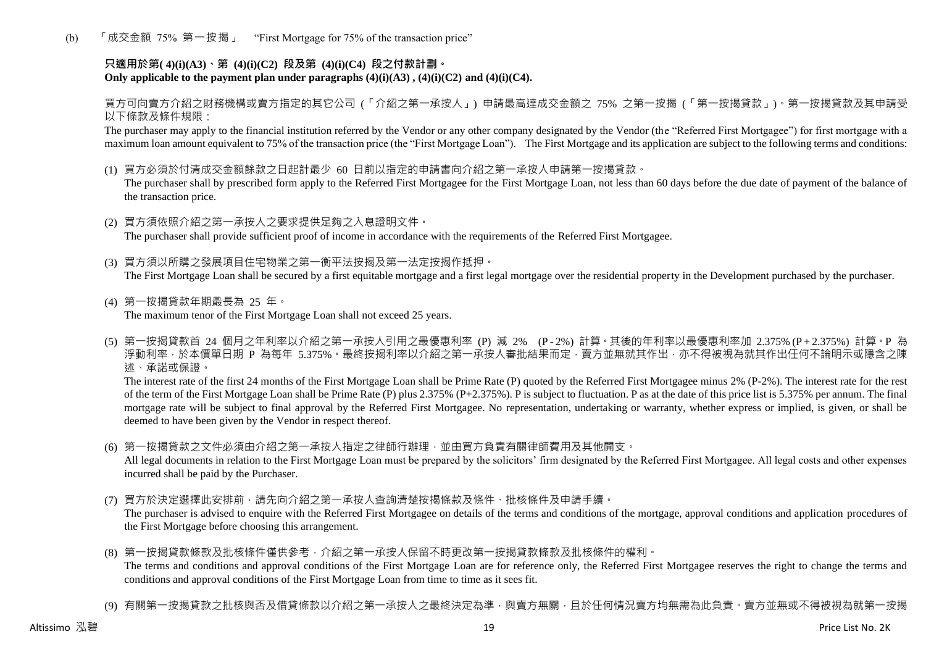(b) 「成交金額 75% 第一按揭」 "First Mortgage for 75% of the transaction price"

## **只適用於第( 4)(i)(A3)、第 (4)(i)(C2) 段及第 (4)(i)(C4) 段之付款計劃。** Only applicable to the payment plan under paragraphs  $(4)(i)(A3)$ ,  $(4)(i)(C2)$  and  $(4)(i)(C4)$ .

買方可向賣方介紹之財務機構或賣方指定的其它公司 (「介紹之第一承按人」) 申請最高達成交金額之 75% 之第一按揭 (「第一按揭貸款」)。第一按揭貸款及其申請受 以下條款及條件規限:

The purchaser may apply to the financial institution referred by the Vendor or any other company designated by the Vendor (the "Referred First Mortgagee") for first mortgage with a maximum loan amount equivalent to 75% of the transaction price (the "First Mortgage Loan"). The First Mortgage and its application are subject to the following terms and conditions:

(1) 買方必須於付清成交金額餘款之日起計最少 60 日前以指定的申請書向介紹之第一承按人申請第一按揭貸款。

The purchaser shall by prescribed form apply to the Referred First Mortgagee for the First Mortgage Loan, not less than 60 days before the due date of payment of the balance of the transaction price.

- (2) 買方須依照介紹之第一承按人之要求提供足夠之入息證明文件。 The purchaser shall provide sufficient proof of income in accordance with the requirements of the Referred First Mortgagee.
- (3) 買方須以所購之發展項目住宅物業之第一衡平法按揭及第一法定按揭作抵押。 The First Mortgage Loan shall be secured by a first equitable mortgage and a first legal mortgage over the residential property in the Development purchased by the purchaser.
- (4) 第一按揭貸款年期最長為 25 年。 The maximum tenor of the First Mortgage Loan shall not exceed 25 years.
- (5) 第一按揭貸款首 24 個月之年利率以介紹之第一承按人引用之最優惠利率 (P) 減 2% (P 2%) 計算。其後的年利率以最優惠利率加 2.375% (P + 2.375%) 計算。P 為 浮動利率,於本價單日期 P 為每年 5.375%。最終按揭利率以介紹之第一承按人審批結果而定,賣方並無就其作出,亦不得被視為就其作出任何不論明示或隱含之陳 述、承諾或保證。

The interest rate of the first 24 months of the First Mortgage Loan shall be Prime Rate (P) quoted by the Referred First Mortgagee minus 2% (P-2%). The interest rate for the rest of the term of the First Mortgage Loan shall be Prime Rate (P) plus 2.375% (P+2.375%). P is subject to fluctuation. P as at the date of this price list is 5.375% per annum. The final mortgage rate will be subject to final approval by the Referred First Mortgagee. No representation, undertaking or warranty, whether express or implied, is given, or shall be deemed to have been given by the Vendor in respect thereof.

(6) 第一按揭貸款之文件必須由介紹之第一承按人指定之律師行辦理,並由買方負責有關律師費用及其他開支。

All legal documents in relation to the First Mortgage Loan must be prepared by the solicitors' firm designated by the Referred First Mortgagee. All legal costs and other expenses incurred shall be paid by the Purchaser.

(7) 買方於決定選擇此安排前,請先向介紹之第一承按人查詢清楚按揭條款及條件、批核條件及申請手續。

The purchaser is advised to enquire with the Referred First Mortgagee on details of the terms and conditions of the mortgage, approval conditions and application procedures of the First Mortgage before choosing this arrangement.

- (8) 第一按揭貸款條款及批核條件僅供參考,介紹之第一承按人保留不時更改第一按揭貸款條款及批核條件的權利。 The terms and conditions and approval conditions of the First Mortgage Loan are for reference only, the Referred First Mortgagee reserves the right to change the terms and conditions and approval conditions of the First Mortgage Loan from time to time as it sees fit.
- (9) 有關第一按揭貸款之批核與否及借貸條款以介紹之第一承按人之最終決定為準,與賣方無關,目於任何情況賣方均無需為此負責。賣方並無或不得被視為就第一按揭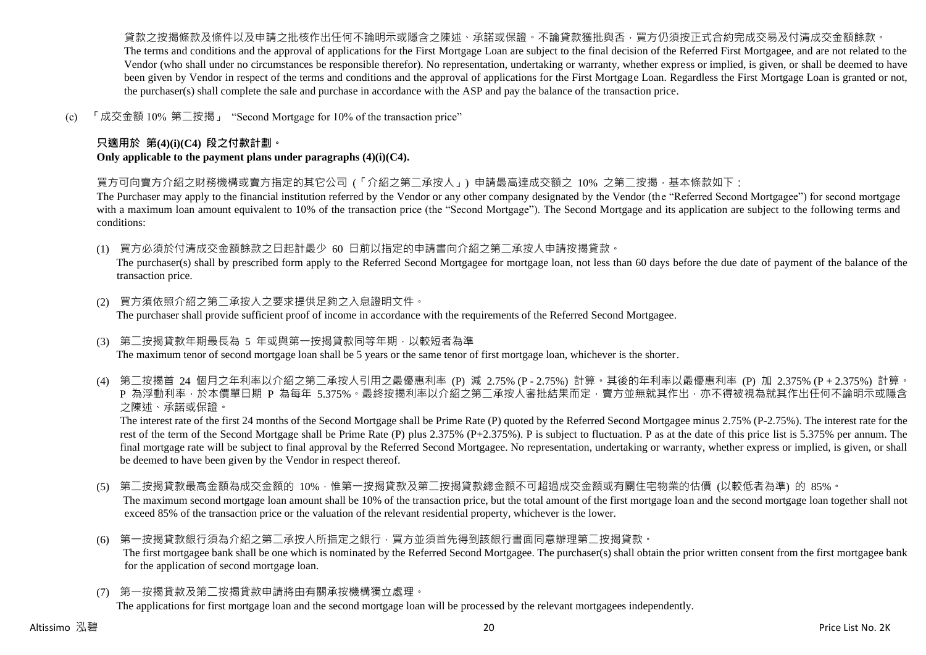貨款之按揭條款及條件以及申請之批核作出任何不論明示或隱含之陳述、承諾或保證。不論貸款獲批與否,買方仍須按正式合約完成交易及付清成交金額餘款。 The terms and conditions and the approval of applications for the First Mortgage Loan are subject to the final decision of the Referred First Mortgagee, and are not related to the Vendor (who shall under no circumstances be responsible therefor). No representation, undertaking or warranty, whether express or implied, is given, or shall be deemed to have been given by Vendor in respect of the terms and conditions and the approval of applications for the First Mortgage Loan. Regardless the First Mortgage Loan is granted or not, the purchaser(s) shall complete the sale and purchase in accordance with the ASP and pay the balance of the transaction price.

(c) 「成交金額 10% 第二按揭」 "Second Mortgage for 10% of the transaction price"

## **只適用於 第(4)(i)(C4) 段之付款計劃。**

**Only applicable to the payment plans under paragraphs (4)(i)(C4).**

買方可向賣方介紹之財務機構或賣方指定的其它公司 (「介紹之第二承按人」) 申請最高達成交額之 10% 之第二按揭,基本條款如下:

The Purchaser may apply to the financial institution referred by the Vendor or any other company designated by the Vendor (the "Referred Second Mortgagee") for second mortgage with a maximum loan amount equivalent to 10% of the transaction price (the "Second Mortgage"). The Second Mortgage and its application are subject to the following terms and conditions:

(1) 買方必須於付清成交金額餘款之日起計最少 60 日前以指定的申請書向介紹之第二承按人申請按揭貸款。

The purchaser(s) shall by prescribed form apply to the Referred Second Mortgagee for mortgage loan, not less than 60 days before the due date of payment of the balance of the transaction price.

- (2) 買方須依照介紹之第二承按人之要求提供足夠之入息證明文件。 The purchaser shall provide sufficient proof of income in accordance with the requirements of the Referred Second Mortgagee.
- (3) 第二按揭貸款年期最長為 5 年或與第一按揭貸款同等年期,以較短者為準 The maximum tenor of second mortgage loan shall be 5 years or the same tenor of first mortgage loan, whichever is the shorter.
- (4) 第二按揭首 24 個月之年利率以介紹之第二承按人引用之最優惠利率 (P) 減 2.75% (P 2.75%) 計算。其後的年利率以最優惠利率 (P) 加 2.375% (P + 2.375%) 計算。 P 為浮動利率,於本價單日期 P 為每年 5.375%。最終按揭利率以介紹之第二承按人審批結果而定,賣方並無就其作出,亦不得被視為就其作出任何不論明示或隱含 之陳述、承諾或保證。

The interest rate of the first 24 months of the Second Mortgage shall be Prime Rate (P) quoted by the Referred Second Mortgagee minus 2.75% (P-2.75%). The interest rate for the rest of the term of the Second Mortgage shall be Prime Rate (P) plus 2.375% (P+2.375%). P is subject to fluctuation. P as at the date of this price list is 5.375% per annum. The final mortgage rate will be subject to final approval by the Referred Second Mortgagee. No representation, undertaking or warranty, whether express or implied, is given, or shall be deemed to have been given by the Vendor in respect thereof.

- (5) 第二按揭貸款最高金額為成交金額的 10%,惟第一按揭貸款及第二按揭貸款總金額不可超過成交金額或有關住宅物業的估價 (以較低者為準) 的 85%。 The maximum second mortgage loan amount shall be 10% of the transaction price, but the total amount of the first mortgage loan and the second mortgage loan together shall not exceed 85% of the transaction price or the valuation of the relevant residential property, whichever is the lower.
- (6) 第一按揭貸款銀行須為介紹之第二承按人所指定之銀行,買方並須首先得到該銀行書面同意辦理第二按揭貸款。 The first mortgagee bank shall be one which is nominated by the Referred Second Mortgagee. The purchaser(s) shall obtain the prior written consent from the first mortgagee bank for the application of second mortgage loan.
- (7) 第一按揭貸款及第二按揭貸款申請將由有關承按機構獨立處理。

The applications for first mortgage loan and the second mortgage loan will be processed by the relevant mortgagees independently.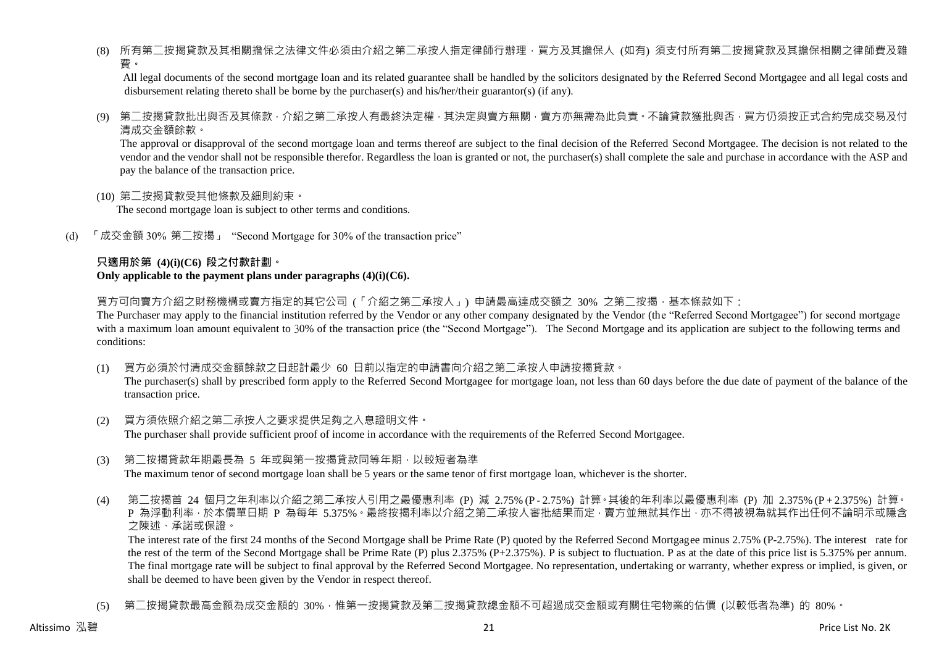(8) 所有第二按揭貸款及其相關擔保之法律文件必須由介紹之第二承按人指定律師行辦理,買方及其擔保人 (如有) 須支付所有第二按揭貸款及其擔保相關之律師費及雜 費。

All legal documents of the second mortgage loan and its related guarantee shall be handled by the solicitors designated by the Referred Second Mortgagee and all legal costs and disbursement relating thereto shall be borne by the purchaser(s) and his/her/their guarantor(s) (if any).

(9) 第二按揭貸款批出與否及其條款,介紹之第二承按人有最終決定權,其決定與賣方無關,賣方亦無需為此負責。不論貸款獲批與否,買方仍須按正式合約完成交易及付 清成交金額餘款。

The approval or disapproval of the second mortgage loan and terms thereof are subject to the final decision of the Referred Second Mortgagee. The decision is not related to the vendor and the vendor shall not be responsible therefor. Regardless the loan is granted or not, the purchaser(s) shall complete the sale and purchase in accordance with the ASP and pay the balance of the transaction price.

(10) 第二按揭貸款受其他條款及細則約束。

The second mortgage loan is subject to other terms and conditions.

(d) 「成交金額 30% 第二按揭」 "Second Mortgage for 30% of the transaction price"

#### **只適用於第 (4)(i)(C6) 段之付款計劃。 Only applicable to the payment plans under paragraphs (4)(i)(C6).**

買方可向賣方介紹之財務機構或賣方指定的其它公司 (「介紹之第二承按人」) 申請最高達成交額之 30% 之第二按揭 · 基本條款如下:

The Purchaser may apply to the financial institution referred by the Vendor or any other company designated by the Vendor (the "Referred Second Mortgagee") for second mortgage with a maximum loan amount equivalent to 30% of the transaction price (the "Second Mortgage"). The Second Mortgage and its application are subject to the following terms and conditions:

(1) 買方必須於付清成交金額餘款之日起計最少 60 日前以指定的申請書向介紹之第二承按人申請按揭貸款。

The purchaser(s) shall by prescribed form apply to the Referred Second Mortgagee for mortgage loan, not less than 60 days before the due date of payment of the balance of the transaction price.

- (2) 買方須依照介紹之第二承按人之要求提供足夠之入息證明文件。 The purchaser shall provide sufficient proof of income in accordance with the requirements of the Referred Second Mortgagee.
- (3) 第二按揭貸款年期最長為 5 年或與第一按揭貸款同等年期,以較短者為準 The maximum tenor of second mortgage loan shall be 5 years or the same tenor of first mortgage loan, whichever is the shorter.
- (4) 第二按揭首 24 個月之年利率以介紹之第二承按人引用之最優惠利率 (P) 減 2.75% (P 2.75%) 計算。其後的年利率以最優惠利率 (P) 加 2.375% (P + 2.375%) 計算。 P 為浮動利率,於本價單日期 P 為每年 5.375%。最終按揭利率以介紹之第二承按人審批結果而定,賣方並無就其作出,亦不得被視為就其作出任何不論明示或隱含 之陳述、承諾或保證。

The interest rate of the first 24 months of the Second Mortgage shall be Prime Rate (P) quoted by the Referred Second Mortgagee minus 2.75% (P-2.75%). The interest rate for the rest of the term of the Second Mortgage shall be Prime Rate (P) plus 2.375% (P+2.375%). P is subject to fluctuation. P as at the date of this price list is 5.375% per annum. The final mortgage rate will be subject to final approval by the Referred Second Mortgagee. No representation, undertaking or warranty, whether express or implied, is given, or shall be deemed to have been given by the Vendor in respect thereof.

(5) 第二按揭貸款最高金額為成交金額的 30%,惟第一按揭貸款及第二按揭貸款總金額不可超過成交金額或有關住宅物業的估價 (以較低者為準) 的 80%。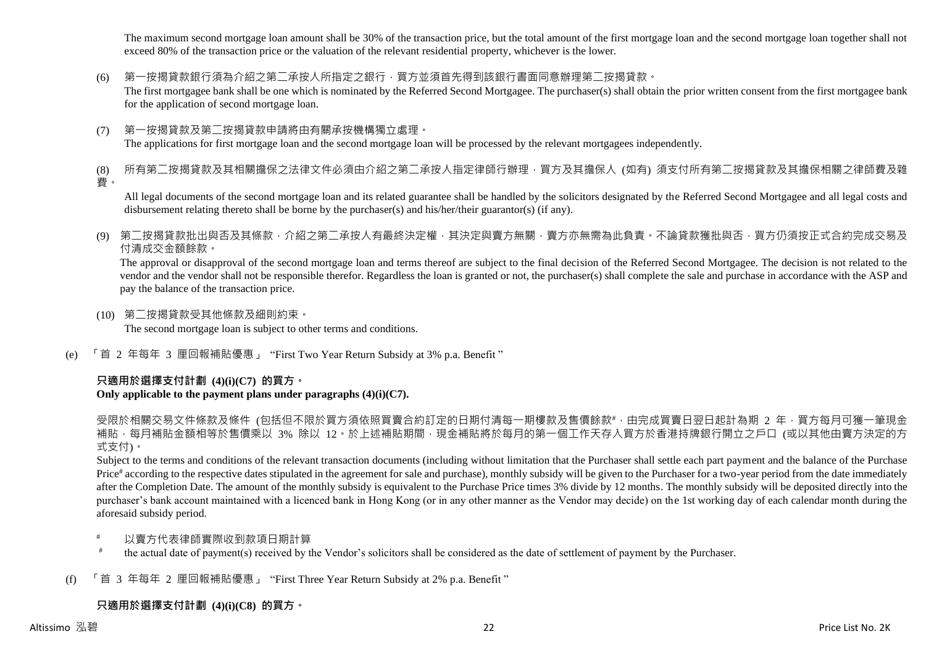The maximum second mortgage loan amount shall be 30% of the transaction price, but the total amount of the first mortgage loan and the second mortgage loan together shall not exceed 80% of the transaction price or the valuation of the relevant residential property, whichever is the lower.

(6) 第一按揭貸款銀行須為介紹之第二承按人所指定之銀行,買方並須首先得到該銀行書面同意辦理第二按揭貸款。

The first mortgagee bank shall be one which is nominated by the Referred Second Mortgagee. The purchaser(s) shall obtain the prior written consent from the first mortgagee bank for the application of second mortgage loan.

(7) 第一按揭貸款及第二按揭貸款申請將由有關承按機構獨立處理。 The applications for first mortgage loan and the second mortgage loan will be processed by the relevant mortgagees independently.

(8) 所有第二按揭貸款及其相關擔保之法律文件必須由介紹之第二承按人指定律師行辦理,買方及其擔保人 (如有) 須支付所有第二按揭貸款及其擔保相關之律師費及雜 費。

All legal documents of the second mortgage loan and its related guarantee shall be handled by the solicitors designated by the Referred Second Mortgagee and all legal costs and disbursement relating thereto shall be borne by the purchaser(s) and his/her/their guarantor(s) (if any).

(9) 第二按揭貸款批出與否及其條款,介紹之第二承按人有最終決定權,其決定與賣方無關,賣方亦無需為此負責。不論貸款獲批與否,買方仍須按正式合約完成交易及 付清成交金額餘款。

The approval or disapproval of the second mortgage loan and terms thereof are subject to the final decision of the Referred Second Mortgagee. The decision is not related to the vendor and the vendor shall not be responsible therefor. Regardless the loan is granted or not, the purchaser(s) shall complete the sale and purchase in accordance with the ASP and pay the balance of the transaction price.

- (10) 第二按揭貸款受其他條款及細則約束。 The second mortgage loan is subject to other terms and conditions.
- (e) 「首 2 年每年 3 厘回報補貼優惠」 "First Two Year Return Subsidy at 3% p.a. Benefit "

### **只適用於選擇支付計劃 (4)(i)(C7) 的買方。**

### **Only applicable to the payment plans under paragraphs (4)(i)(C7).**

受限於相關交易文件條款及條件 (包括但不限於買方須依照買賣合約訂定的日期付清每一期樓款及售價餘款#,由完成買賣日翌日起計為期 2 年,買方每月可獲一筆現金 補貼,每月補貼金額相等於售價乘以 3% 除以 12。於上述補貼期間,現金補貼將於每月的第一個工作天存入買方於香港持牌銀行開立之戶口 (或以其他由賣方決定的方 式支付)。

Subject to the terms and conditions of the relevant transaction documents (including without limitation that the Purchaser shall settle each part payment and the balance of the Purchase Price<sup>#</sup> according to the respective dates stipulated in the agreement for sale and purchase), monthly subsidy will be given to the Purchaser for a two-year period from the date immediately after the Completion Date. The amount of the monthly subsidy is equivalent to the Purchase Price times 3% divide by 12 months. The monthly subsidy will be deposited directly into the purchaser's bank account maintained with a licenced bank in Hong Kong (or in any other manner as the Vendor may decide) on the 1st working day of each calendar month during the aforesaid subsidy period.

- 以賣方代表律師實際收到款項日期計算
- # the actual date of payment(s) received by the Vendor's solicitors shall be considered as the date of settlement of payment by the Purchaser.
- (f) 「首 3 年每年 2 厘回報補貼優惠」 "First Three Year Return Subsidy at 2% p.a. Benefit "

# **只適用於選擇支付計劃 (4)(i)(C8) 的買方。**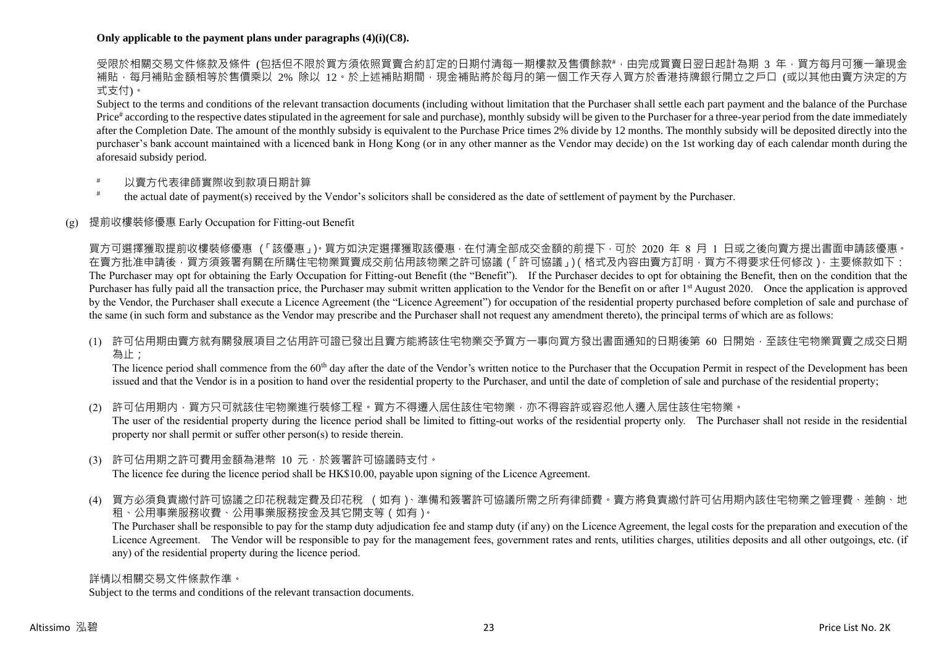### **Only applicable to the payment plans under paragraphs (4)(i)(C8).**

受限於相關交易文件條款及條件 (包括但不限於買方須依照買賣合約訂定的日期付清每一期樓款及售價餘款#,由完成買賣日翌日起計為期 3 年,買方每月可獲一筆現金 補貼,每月補貼金額相等於售價乘以 2% 除以 12。於上述補貼期間,現金補貼將於每月的第一個工作天存入買方於香港持牌銀行開立之戶口 (或以其他由賣方決定的方 式支付)。

Subject to the terms and conditions of the relevant transaction documents (including without limitation that the Purchaser shall settle each part payment and the balance of the Purchase Price<sup>#</sup> according to the respective dates stipulated in the agreement for sale and purchase), monthly subsidy will be given to the Purchaser for a three-year period from the date immediately after the Completion Date. The amount of the monthly subsidy is equivalent to the Purchase Price times 2% divide by 12 months. The monthly subsidy will be deposited directly into the purchaser's bank account maintained with a licenced bank in Hong Kong (or in any other manner as the Vendor may decide) on the 1st working day of each calendar month during the aforesaid subsidy period.

- 以賣方代表律師實際收到款項日期計算
- # the actual date of payment(s) received by the Vendor's solicitors shall be considered as the date of settlement of payment by the Purchaser.

### (g) 提前收樓裝修優惠 Early Occupation for Fitting-out Benefit

買方可選擇獲取提前收樓裝修優惠 (「該優惠」)。買方如決定選擇獲取該優惠,在付清全部成交金額的前提下,可於 2020 年 8 月 1 日或之後向賣方提出書面申請該優惠。 在賣方批准申請後,買方須簽署有關在所購住宅物業買賣成交前佔用該物業之許可協議(「許可協議」)(格式及內容由賣方訂明,買方不得要求任何修改),主要條款如下: The Purchaser may opt for obtaining the Early Occupation for Fitting-out Benefit (the "Benefit"). If the Purchaser decides to opt for obtaining the Benefit, then on the condition that the Purchaser has fully paid all the transaction price, the Purchaser may submit written application to the Vendor for the Benefit on or after 1<sup>st</sup> August 2020. Once the application is approved by the Vendor, the Purchaser shall execute a Licence Agreement (the "Licence Agreement") for occupation of the residential property purchased before completion of sale and purchase of the same (in such form and substance as the Vendor may prescribe and the Purchaser shall not request any amendment thereto), the principal terms of which are as follows:

(1) 許可佔用期由賣方就有關發展項目之佔用許可證已發出且賣方能將該住宅物業交予買方一事向買方發出書面通知的日期後第 60 日開始,至該住宅物業買賣之成交日期 為止;

The licence period shall commence from the 60<sup>th</sup> day after the date of the Vendor's written notice to the Purchaser that the Occupation Permit in respect of the Development has been issued and that the Vendor is in a position to hand over the residential property to the Purchaser, and until the date of completion of sale and purchase of the residential property;

(2) 許可佔用期内,買方只可就該住宅物業進行裝修工程。買方不得遷入居住該住宅物業,亦不得容許或容忍他人遷入居住該住宅物業。 The user of the residential property during the licence period shall be limited to fitting-out works of the residential property only. The Purchaser shall not reside in the residential property nor shall permit or suffer other person(s) to reside therein.

- (3) 許可佔用期之許可費用金額為港幣 10 元,於簽署許可協議時支付。 The licence fee during the licence period shall be HK\$10.00, payable upon signing of the Licence Agreement.
- (4) 買方必須負責繳付許可協議之印花稅裁定費及印花稅 (如有)、準備和簽署許可協議所需之所有律師費。賣方將負責繳付許可佔用期內該住宅物業之管理費、差餉、地 租、公用事業服務收費、公用事業服務按金及其它開支等(如有)。

The Purchaser shall be responsible to pay for the stamp duty adjudication fee and stamp duty (if any) on the Licence Agreement, the legal costs for the preparation and execution of the Licence Agreement. The Vendor will be responsible to pay for the management fees, government rates and rents, utilities charges, utilities deposits and all other outgoings, etc. (if any) of the residential property during the licence period.

#### 詳情以相關交易文件條款作準。

Subject to the terms and conditions of the relevant transaction documents.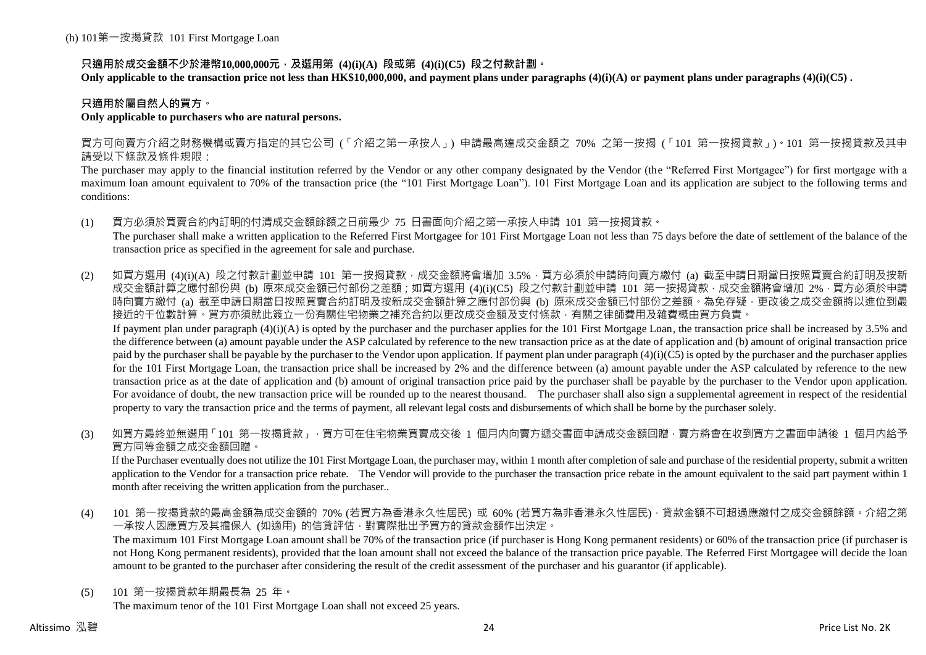### **只適用於成交金額不少於港幣10,000,000元,及選用第 (4)(i)(A) 段或第 (4)(i)(C5) 段之付款計劃。**

**Only applicable to the transaction price not less than HK\$10,000,000, and payment plans under paragraphs (4)(i)(A) or payment plans under paragraphs (4)(i)(C5) .**

### **只適用於屬自然人的買方。**

### **Only applicable to purchasers who are natural persons.**

買方可向賣方介紹之財務機構或賣方指定的其它公司 (「介紹之第一承按人」) 申請最高達成交金額之 70% 之第一按揭 (「101 第一按揭貸款」)。101 第一按揭貸款及其申 請受以下條款及條件規限:

The purchaser may apply to the financial institution referred by the Vendor or any other company designated by the Vendor (the "Referred First Mortgagee") for first mortgage with a maximum loan amount equivalent to 70% of the transaction price (the "101 First Mortgage Loan"). 101 First Mortgage Loan and its application are subject to the following terms and conditions:

(1) 買方必須於買賣合約內訂明的付清成交金額餘額之日前最少 75 日書面向介紹之第一承按人申請 101 第一按揭貸款。

The purchaser shall make a written application to the Referred First Mortgagee for 101 First Mortgage Loan not less than 75 days before the date of settlement of the balance of the transaction price as specified in the agreement for sale and purchase.

(2) 如買方選用 (4)(i)(A) 段之付款計劃並申請 101 第一按揭貸款,成交金額將會增加 3.5%,買方必須於申請時向賣方繳付 (a) 截至申請日期當日按照買賣合約訂明及按新 成交金額計算之應付部份與 (b) 原來成交金額已付部份之差額;如買方選用 (4)(i)(C5) 段之付款計劃並申請 101 第一按揭貸款,成交金額將會增加 2%,買方必須於申請 時向賣方繳付 (a) 截至申請日期當日按照買賣合約訂明及按新成交金額計算之應付部份與 (b) 原來成交金額已付部份之差額。為免存疑,更改後之成交金額將以進位到最 接近的千位數計算。買方亦須就此簽立一份有關住宅物業之補充合約以更改成交金額及支付條款,有關之律師費用及雜費概由買方負責。 If payment plan under paragraph  $(4)(i)(A)$  is opted by the purchaser and the purchaser applies for the 101 First Mortgage Loan, the transaction price shall be increased by 3.5% and

the difference between (a) amount payable under the ASP calculated by reference to the new transaction price as at the date of application and (b) amount of original transaction price paid by the purchaser shall be payable by the purchaser to the Vendor upon application. If payment plan under paragraph  $(4)(i)(C5)$  is opted by the purchaser and the purchaser applies for the 101 First Mortgage Loan, the transaction price shall be increased by 2% and the difference between (a) amount payable under the ASP calculated by reference to the new transaction price as at the date of application and (b) amount of original transaction price paid by the purchaser shall be payable by the purchaser to the Vendor upon application. For avoidance of doubt, the new transaction price will be rounded up to the nearest thousand. The purchaser shall also sign a supplemental agreement in respect of the residential property to vary the transaction price and the terms of payment, all relevant legal costs and disbursements of which shall be borne by the purchaser solely.

(3) 如買方最終並無選用「101 第一按揭貸款」,買方可在住宅物業買賣成交後 1 個月内向賣方遞交書面申請成交金額回贈,賣方將會在收到買方之書面申請後 1 個月内給予 買方同等金額之成交金額回贈。

If the Purchaser eventually does not utilize the 101 First Mortgage Loan, the purchaser may, within 1 month after completion of sale and purchase of the residential property, submit a written application to the Vendor for a transaction price rebate. The Vendor will provide to the purchaser the transaction price rebate in the amount equivalent to the said part payment within 1 month after receiving the written application from the purchaser..

(4) 101 第一按揭貸款的最高金額為成交金額的 70% (若買方為香港永久性居民) 或 60% (若買方為非香港永久性居民),貸款金額不可超過應繳付之成交金額餘額。介紹之第 一承按人因應買方及其擔保人 (如適用) 的信貸評估,對實際批出予買方的貸款金額作出決定。

The maximum 101 First Mortgage Loan amount shall be 70% of the transaction price (if purchaser is Hong Kong permanent residents) or 60% of the transaction price (if purchaser is not Hong Kong permanent residents), provided that the loan amount shall not exceed the balance of the transaction price payable. The Referred First Mortgagee will decide the loan amount to be granted to the purchaser after considering the result of the credit assessment of the purchaser and his guarantor (if applicable).

(5) 101 第一按揭貸款年期最長為 25 年。

The maximum tenor of the 101 First Mortgage Loan shall not exceed 25 years.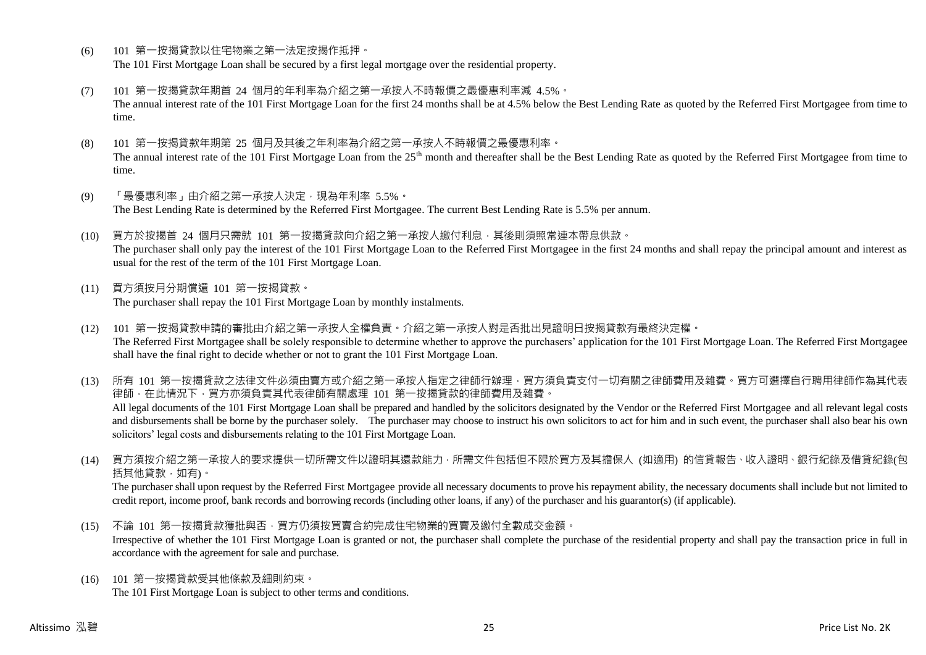- (6) 101 第一按揭貸款以住宅物業之第一法定按揭作抵押。 The 101 First Mortgage Loan shall be secured by a first legal mortgage over the residential property.
- (7) 101 第一按揭貸款年期首 24 個月的年利率為介紹之第一承按人不時報價之最優惠利率減 4.5%。 The annual interest rate of the 101 First Mortgage Loan for the first 24 months shall be at 4.5% below the Best Lending Rate as quoted by the Referred First Mortgagee from time to time.
- (8) 101 第一按揭貸款年期第 25 個月及其後之年利率為介紹之第一承按人不時報價之最優惠利率。 The annual interest rate of the 101 First Mortgage Loan from the 25<sup>th</sup> month and thereafter shall be the Best Lending Rate as quoted by the Referred First Mortgagee from time to time.
- (9) 「最優惠利率」由介紹之第一承按人決定,現為年利率 5.5%。 The Best Lending Rate is determined by the Referred First Mortgagee. The current Best Lending Rate is 5.5% per annum.
- (10) 買方於按揭首 24 個月只需就 101 第一按揭貸款向介紹之第一承按人繳付利息,其後則須照常連本帶息供款。 The purchaser shall only pay the interest of the 101 First Mortgage Loan to the Referred First Mortgagee in the first 24 months and shall repay the principal amount and interest as usual for the rest of the term of the 101 First Mortgage Loan.
- (11) 買方須按月分期償還 101 第一按揭貸款。 The purchaser shall repay the 101 First Mortgage Loan by monthly instalments.
- (12) 101 第一按揭貸款申請的審批由介紹之第一承按人全權負責。介紹之第一承按人對是否批出見證明日按揭貸款有最終決定權。 The Referred First Mortgagee shall be solely responsible to determine whether to approve the purchasers' application for the 101 First Mortgage Loan. The Referred First Mortgagee shall have the final right to decide whether or not to grant the 101 First Mortgage Loan.

(13) 所有 101 第一按揭貸款之法律文件必須由賣方或介紹之第一承按人指定之律師行辦理,買方須負責支付一切有關之律師費用及雜費。買方可選擇自行聘用律師作為其代表 律師,在此情況下,買方亦須負責其代表律師有關處理 101 第一按揭貸款的律師費用及雜費。 All legal documents of the 101 First Mortgage Loan shall be prepared and handled by the solicitors designated by the Vendor or the Referred First Mortgagee and all relevant legal costs and disbursements shall be borne by the purchaser solely. The purchaser may choose to instruct his own solicitors to act for him and in such event, the purchaser shall also bear his own solicitors' legal costs and disbursements relating to the 101 First Mortgage Loan.

(14) 買方須按介紹之第一承按人的要求提供一切所需文件以證明其還款能力,所需文件包括但不限於買方及其擔保人 (如適用) 的信貸報告、收入證明、銀行紀錄及借貸紀錄(包 括其他貸款,如有)。

The purchaser shall upon request by the Referred First Mortgagee provide all necessary documents to prove his repayment ability, the necessary documents shall include but not limited to credit report, income proof, bank records and borrowing records (including other loans, if any) of the purchaser and his guarantor(s) (if applicable).

- (15) 不論 101 第一按揭貸款獲批與否,買方仍須按買賣合約完成住宅物業的買賣及繳付全數成交金額。 Irrespective of whether the 101 First Mortgage Loan is granted or not, the purchaser shall complete the purchase of the residential property and shall pay the transaction price in full in accordance with the agreement for sale and purchase.
- (16) 101 第一按揭貸款受其他條款及細則約束。 The 101 First Mortgage Loan is subject to other terms and conditions.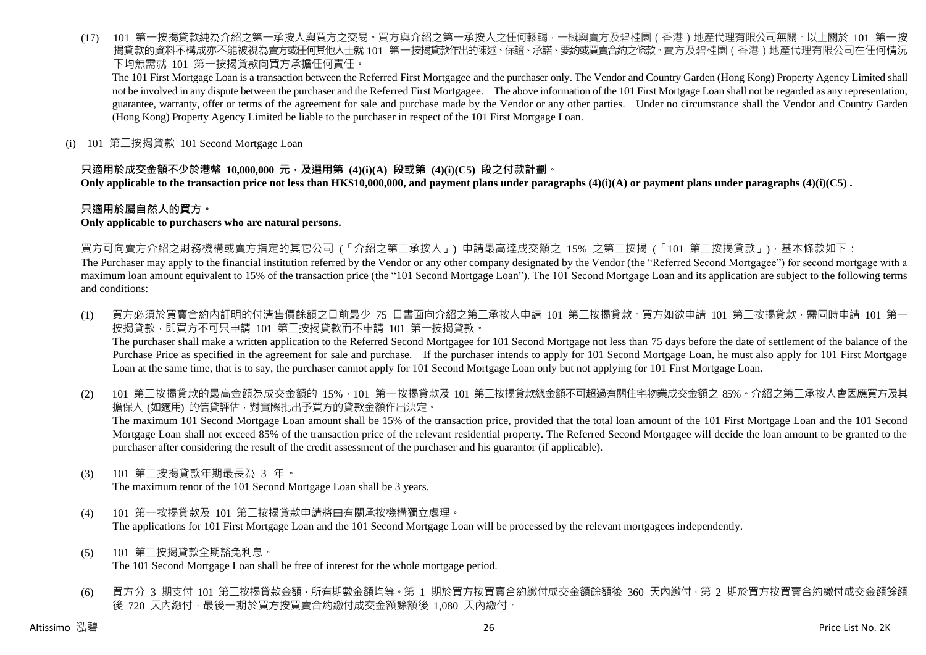(17) 101 第一按揭貸款純為介紹之第一承按人與買方之交易。買方與介紹之第一承按人之任何轇輵,一概與賣方及碧桂園(香港)地產代理有限公司無關。以上關於 101 第一按 揭貸款的資料不構成亦不能被視為賣方或任何其他人士就 101 第一按揭貸款作出的陳述、保證、承諾、要約或買賣合約之條款。賣方及碧桂園 ( 香港 ) 地產代理有限公司在任何情況 下均無需就 101 第一按揭貸款向買方承擔任何責任。

The 101 First Mortgage Loan is a transaction between the Referred First Mortgagee and the purchaser only. The Vendor and Country Garden (Hong Kong) Property Agency Limited shall not be involved in any dispute between the purchaser and the Referred First Mortgagee. The above information of the 101 First Mortgage Loan shall not be regarded as any representation, guarantee, warranty, offer or terms of the agreement for sale and purchase made by the Vendor or any other parties. Under no circumstance shall the Vendor and Country Garden (Hong Kong) Property Agency Limited be liable to the purchaser in respect of the 101 First Mortgage Loan.

(i) 101 第二按揭貸款 101 Second Mortgage Loan

### **只適用於成交金額不少於港幣 10,000,000 元,及選用第 (4)(i)(A) 段或第 (4)(i)(C5) 段之付款計劃。**

**Only applicable to the transaction price not less than HK\$10,000,000, and payment plans under paragraphs (4)(i)(A) or payment plans under paragraphs (4)(i)(C5) .**

### **只適用於屬自然人的買方。**

#### **Only applicable to purchasers who are natural persons.**

買方可向賣方介紹之財務機構或賣方指定的其它公司 (「介紹之第二承按人」) 申請最高達成交額之 15% 之第二按揭 (「101 第二按揭貸款」),基本條款如下:

The Purchaser may apply to the financial institution referred by the Vendor or any other company designated by the Vendor (the "Referred Second Mortgagee") for second mortgage with a maximum loan amount equivalent to 15% of the transaction price (the "101 Second Mortgage Loan"). The 101 Second Mortgage Loan and its application are subject to the following terms and conditions:

- (1) 買方必須於買賣合約內訂明的付清售價餘額之日前最少 75 日書面向介紹之第二承按人申請 101 第二按揭貸款。買方如欲申請 101 第二按揭貸款,需同時申請 101 第一 按揭貸款,即買方不可只申請 101 第二按揭貸款而不申請 101 第一按揭貸款。 The purchaser shall make a written application to the Referred Second Mortgagee for 101 Second Mortgage not less than 75 days before the date of settlement of the balance of the Purchase Price as specified in the agreement for sale and purchase. If the purchaser intends to apply for 101 Second Mortgage Loan, he must also apply for 101 First Mortgage Loan at the same time, that is to say, the purchaser cannot apply for 101 Second Mortgage Loan only but not applying for 101 First Mortgage Loan.
- (2) 101 第二按揭貸款的最高金額為成交金額的 15%,101 第一按揭貸款及 101 第二按揭貸款總金額不可超過有關住宅物業成交金額之 85%。介紹之第二承按人會因應買方及其 擔保人 (如適用) 的信貸評估,對實際批出予買方的貸款金額作出決定。 The maximum 101 Second Mortgage Loan amount shall be 15% of the transaction price, provided that the total loan amount of the 101 First Mortgage Loan and the 101 Second Mortgage Loan shall not exceed 85% of the transaction price of the relevant residential property. The Referred Second Mortgagee will decide the loan amount to be granted to the purchaser after considering the result of the credit assessment of the purchaser and his guarantor (if applicable).
- (3) 101 第二按揭貸款年期最長為 3 年。

The maximum tenor of the 101 Second Mortgage Loan shall be 3 years.

- (4) 101 第一按揭貸款及 101 第二按揭貸款申請將由有關承按機構獨立處理。 The applications for 101 First Mortgage Loan and the 101 Second Mortgage Loan will be processed by the relevant mortgagees independently.
- (5) 101 第二按揭貸款全期豁免利息。 The 101 Second Mortgage Loan shall be free of interest for the whole mortgage period.
- (6) 買方分 3 期支付 101 第二按揭貸款金額,所有期數金額均等。第 1 期於買方按買賣合約繳付成交金額餘額後 360 天內繳付,第 2 期於買方按買賣合約繳付成交金額餘額 後 720 天內繳付,最後一期於買方按買賣合約繳付成交金額餘額後 1,080 天內繳付。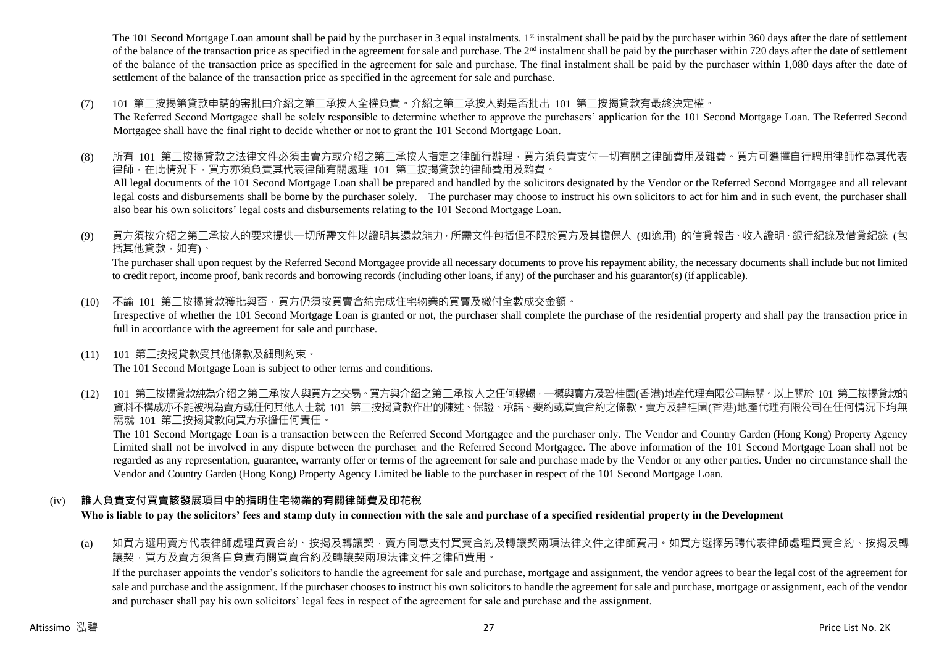The 101 Second Mortgage Loan amount shall be paid by the purchaser in 3 equal instalments. 1<sup>st</sup> instalment shall be paid by the purchaser within 360 days after the date of settlement of the balance of the transaction price as specified in the agreement for sale and purchase. The  $2<sup>nd</sup>$  instalment shall be paid by the purchaser within 720 days after the date of settlement of the balance of the transaction price as specified in the agreement for sale and purchase. The final instalment shall be paid by the purchaser within 1,080 days after the date of settlement of the balance of the transaction price as specified in the agreement for sale and purchase.

(7) 101 第二按揭第貸款申請的審批由介紹之第二承按人全權負責。介紹之第二承按人對是否批出 101 第二按揭貸款有最終決定權。

The Referred Second Mortgagee shall be solely responsible to determine whether to approve the purchasers' application for the 101 Second Mortgage Loan. The Referred Second Mortgagee shall have the final right to decide whether or not to grant the 101 Second Mortgage Loan.

- (8) 所有 101 第二按揭貸款之法律文件必須由賣方或介紹之第二承按人指定之律師行辦理,買方須負責支付一切有關之律師費用及雜費。買方可選擇自行聘用律師作為其代表 律師,在此情況下,買方亦須負責其代表律師有關處理 101 第二按揭貸款的律師費用及雜費。 All legal documents of the 101 Second Mortgage Loan shall be prepared and handled by the solicitors designated by the Vendor or the Referred Second Mortgagee and all relevant legal costs and disbursements shall be borne by the purchaser solely. The purchaser may choose to instruct his own solicitors to act for him and in such event, the purchaser shall also bear his own solicitors' legal costs and disbursements relating to the 101 Second Mortgage Loan.
- (9) 買方須按介紹之第二承按人的要求提供一切所需文件以證明其還款能力,所需文件包括但不限於買方及其擔保人 (如適用) 的信貸報告、收入證明、銀行紀錄及借貸紀錄 (包 括其他貸款,如有)。

The purchaser shall upon request by the Referred Second Mortgagee provide all necessary documents to prove his repayment ability, the necessary documents shall include but not limited to credit report, income proof, bank records and borrowing records (including other loans, if any) of the purchaser and his guarantor(s) (if applicable).

- (10) 不論 101 第二按揭貸款獲批與否,買方仍須按買賣合約完成住宅物業的買賣及繳付全數成交金額。 Irrespective of whether the 101 Second Mortgage Loan is granted or not, the purchaser shall complete the purchase of the residential property and shall pay the transaction price in full in accordance with the agreement for sale and purchase.
- (11) 101 第二按揭貸款受其他條款及細則約束。 The 101 Second Mortgage Loan is subject to other terms and conditions.
- (12) 101 第二按揭貸款純為介紹之第二承按人與買方之交易。買方與介紹之第二承按人之任何轇輵,一概與賣方及碧桂園(香港)地產代理有限公司無關。以上關於 101 第二按揭貸款的 資料不構成亦不能被視為賣方或任何其他人士就 101 第二按揭貸款作出的陳述、保證、承諾、要約或買賣合約之條款。賣方及碧桂園(香港)地產代理有限公司在任何情況下均無 需就 101 第二按揭貸款向買方承擔任何責任。

The 101 Second Mortgage Loan is a transaction between the Referred Second Mortgagee and the purchaser only. The Vendor and Country Garden (Hong Kong) Property Agency Limited shall not be involved in any dispute between the purchaser and the Referred Second Mortgagee. The above information of the 101 Second Mortgage Loan shall not be regarded as any representation, guarantee, warranty offer or terms of the agreement for sale and purchase made by the Vendor or any other parties. Under no circumstance shall the Vendor and Country Garden (Hong Kong) Property Agency Limited be liable to the purchaser in respect of the 101 Second Mortgage Loan.

# (iv) **誰人負責支付買賣該發展項目中的指明住宅物業的有關律師費及印花稅**

**Who is liable to pay the solicitors' fees and stamp duty in connection with the sale and purchase of a specified residential property in the Development**

(a) 如買方選用賣方代表律師處理買賣合約、按揭及轉讓契,賣方同意支付買賣合約及轉讓契兩項法律文件之律師費用。如買方選擇另聘代表律師處理買賣合約、按揭及轉 譲契,買方及賣方須各自負責有關買賣合約及轉讓契兩項法律文件之律師費用。

If the purchaser appoints the vendor's solicitors to handle the agreement for sale and purchase, mortgage and assignment, the vendor agrees to bear the legal cost of the agreement for sale and purchase and the assignment. If the purchaser chooses to instruct his own solicitors to handle the agreement for sale and purchase, mortgage or assignment, each of the vendor and purchaser shall pay his own solicitors' legal fees in respect of the agreement for sale and purchase and the assignment.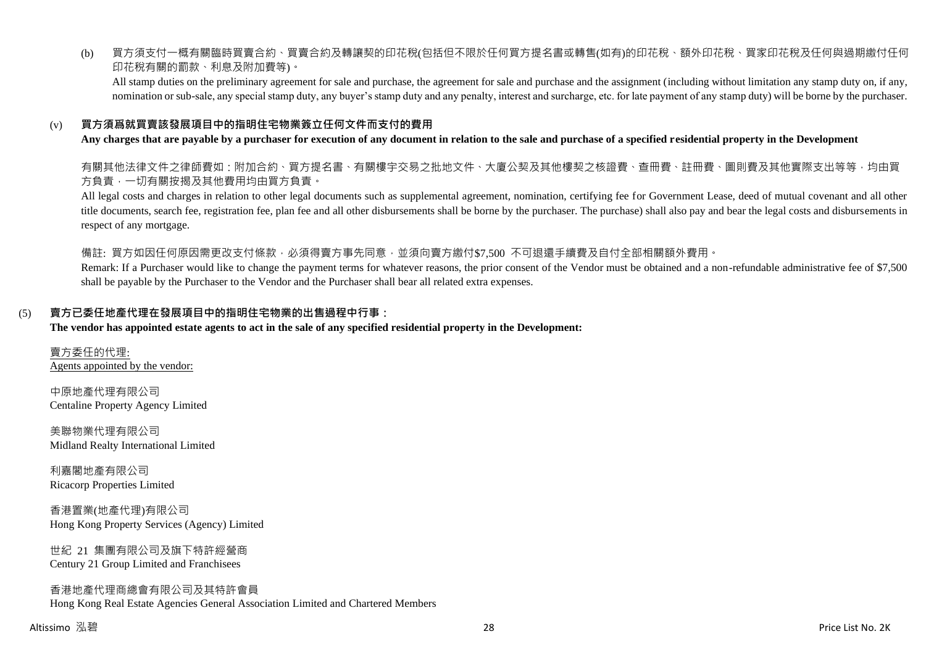(b) 買方須支付一概有關臨時買賣合約、買賣合約及轉讓契的印花稅(包括但不限於任何買方提名書或轉售(如有)的印花稅、額外印花稅、買家印花稅及任何與過期繳付任何 印花稅有關的罰款、利息及附加費等)。

All stamp duties on the preliminary agreement for sale and purchase, the agreement for sale and purchase and the assignment (including without limitation any stamp duty on, if any, nomination or sub-sale, any special stamp duty, any buyer's stamp duty and any penalty, interest and surcharge, etc. for late payment of any stamp duty) will be borne by the purchaser.

### (v) **買方須爲就買賣該發展項目中的指明住宅物業簽立任何文件而支付的費用**

#### **Any charges that are payable by a purchaser for execution of any document in relation to the sale and purchase of a specified residential property in the Development**

有關其他法律文件之律師費如:附加合約、買方提名書、有關樓宇交易之批地文件、大廈公契及其他樓契之核證費、查冊費、註冊費、圖則費及其他實際支出等等,均由買 方負責,一切有關按揭及其他費用均由買方負責。

All legal costs and charges in relation to other legal documents such as supplemental agreement, nomination, certifying fee for Government Lease, deed of mutual covenant and all other title documents, search fee, registration fee, plan fee and all other disbursements shall be borne by the purchaser. The purchase) shall also pay and bear the legal costs and disbursements in respect of any mortgage.

備註: 買方如因任何原因需更改支付條款,必須得賣方事先同意,並須向賣方繳付\$7,500 不可退還手續費及自付全部相關額外費用。

Remark: If a Purchaser would like to change the payment terms for whatever reasons, the prior consent of the Vendor must be obtained and a non-refundable administrative fee of \$7,500 shall be payable by the Purchaser to the Vendor and the Purchaser shall bear all related extra expenses.

#### (5) **賣方已委任地產代理在發展項目中的指明住宅物業的出售過程中行事:**

#### **The vendor has appointed estate agents to act in the sale of any specified residential property in the Development:**

賣方委任的代理: Agents appointed by the vendor:

中原地產代理有限公司 Centaline Property Agency Limited

美聯物業代理有限公司 Midland Realty International Limited

利嘉閣地產有限公司 Ricacorp Properties Limited

香港置業(地產代理)有限公司 Hong Kong Property Services (Agency) Limited

世紀 21 集團有限公司及旗下特許經營商 Century 21 Group Limited and Franchisees

香港地產代理商總會有限公司及其特許會員 Hong Kong Real Estate Agencies General Association Limited and Chartered Members